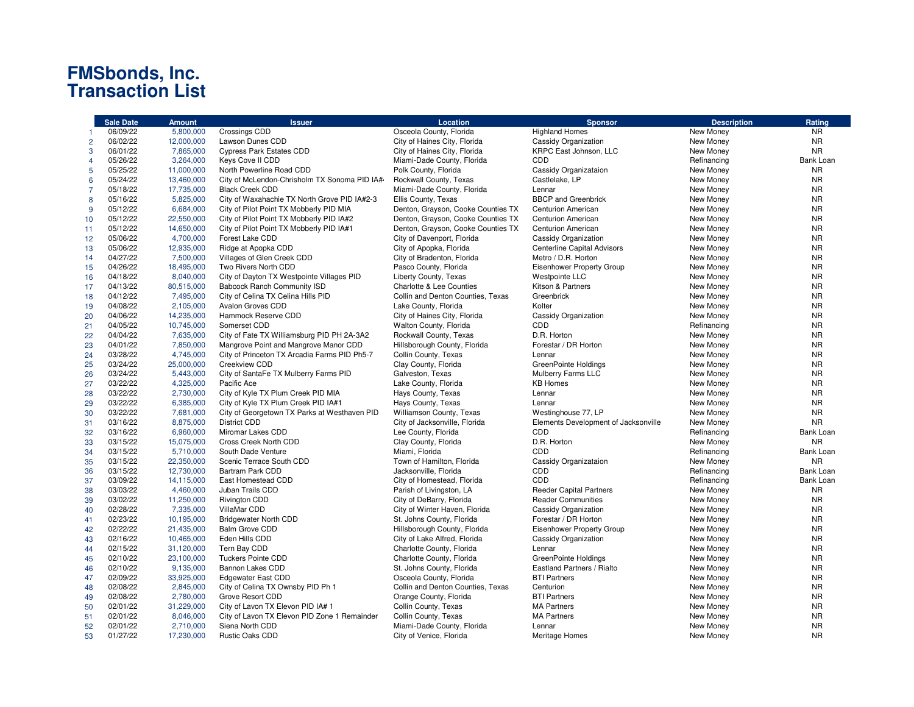## **FMSbonds, Inc. Transaction List**

|                | <b>Sale Date</b> | <b>Amount</b> | <b>Issuer</b>                                | Location                            | Sponsor                              | <b>Description</b> | Rating           |
|----------------|------------------|---------------|----------------------------------------------|-------------------------------------|--------------------------------------|--------------------|------------------|
| $\overline{1}$ | 06/09/22         | 5,800,000     | Crossings CDD                                | Osceola County, Florida             | <b>Highland Homes</b>                | New Money          | <b>NR</b>        |
| $\overline{c}$ | 06/02/22         | 12,000,000    | Lawson Dunes CDD                             | City of Haines City, Florida        | Cassidy Organization                 | New Money          | <b>NR</b>        |
| 3              | 06/01/22         | 7,865,000     | <b>Cypress Park Estates CDD</b>              | City of Haines City, Florida        | KRPC East Johnson, LLC               | New Money          | <b>NR</b>        |
| $\overline{4}$ | 05/26/22         | 3,264,000     | Keys Cove II CDD                             | Miami-Dade County, Florida          | <b>CDD</b>                           | Refinancing        | <b>Bank Loan</b> |
| 5              | 05/25/22         | 11,000,000    | North Powerline Road CDD                     | Polk County, Florida                | Cassidy Organizataion                | New Money          | <b>NR</b>        |
| 6              | 05/24/22         | 13,460,000    | City of McLendon-Chrisholm TX Sonoma PID IA# | Rockwall County, Texas              | Castlelake, LP                       | New Money          | <b>NR</b>        |
| $\overline{7}$ | 05/18/22         | 17,735,000    | <b>Black Creek CDD</b>                       | Miami-Dade County, Florida          | Lennar                               | New Money          | <b>NR</b>        |
| 8              | 05/16/22         | 5,825,000     | City of Waxahachie TX North Grove PID IA#2-3 | Ellis County, Texas                 | <b>BBCP</b> and Greenbrick           | New Money          | <b>NR</b>        |
| 9              | 05/12/22         | 6,684,000     | City of Pilot Point TX Mobberly PID MIA      | Denton, Grayson, Cooke Counties TX  | <b>Centurion American</b>            | New Money          | <b>NR</b>        |
| 10             | 05/12/22         | 22,550,000    | City of Pilot Point TX Mobberly PID IA#2     | Denton, Grayson, Cooke Counties TX  | <b>Centurion American</b>            | New Money          | <b>NR</b>        |
| 11             | 05/12/22         | 14,650,000    | City of Pilot Point TX Mobberly PID IA#1     | Denton, Grayson, Cooke Counties TX  | <b>Centurion American</b>            | New Money          | <b>NR</b>        |
| 12             | 05/06/22         | 4,700,000     | Forest Lake CDD                              | City of Davenport, Florida          | Cassidy Organization                 | New Money          | <b>NR</b>        |
| 13             | 05/06/22         | 12,935,000    | Ridge at Apopka CDD                          | City of Apopka, Florida             | <b>Centerline Capital Advisors</b>   | New Money          | <b>NR</b>        |
| 14             | 04/27/22         | 7,500,000     | Villages of Glen Creek CDD                   | City of Bradenton, Florida          | Metro / D.R. Horton                  | New Money          | <b>NR</b>        |
| 15             | 04/26/22         | 18,495,000    | Two Rivers North CDD                         | Pasco County, Florida               | <b>Eisenhower Property Group</b>     | New Money          | <b>NR</b>        |
| 16             | 04/18/22         | 8,040,000     | City of Dayton TX Westpointe Villages PID    | Liberty County, Texas               | <b>Westpointe LLC</b>                | New Money          | <b>NR</b>        |
| 17             | 04/13/22         | 80,515,000    | <b>Babcock Ranch Community ISD</b>           | <b>Charlotte &amp; Lee Counties</b> | Kitson & Partners                    | New Money          | <b>NR</b>        |
| 18             | 04/12/22         | 7,495,000     | City of Celina TX Celina Hills PID           | Collin and Denton Counties, Texas   | Greenbrick                           | New Money          | <b>NR</b>        |
| 19             | 04/08/22         | 2,105,000     | Avalon Groves CDD                            | Lake County, Florida                | Kolter                               | New Money          | <b>NR</b>        |
| 20             | 04/06/22         | 14,235,000    | Hammock Reserve CDD                          | City of Haines City, Florida        | Cassidy Organization                 | New Money          | <b>NR</b>        |
| 21             | 04/05/22         | 10,745,000    | Somerset CDD                                 | Walton County, Florida              | CDD                                  | Refinancing        | <b>NR</b>        |
| 22             | 04/04/22         | 7,635,000     | City of Fate TX Williamsburg PID PH 2A-3A2   | Rockwall County, Texas              | D.R. Horton                          | New Money          | <b>NR</b>        |
| 23             | 04/01/22         | 7,850,000     | Mangrove Point and Mangrove Manor CDD        | Hillsborough County, Florida        | Forestar / DR Horton                 | New Money          | <b>NR</b>        |
| 24             | 03/28/22         | 4,745,000     | City of Princeton TX Arcadia Farms PID Ph5-7 | Collin County, Texas                | Lennar                               | New Money          | <b>NR</b>        |
| 25             | 03/24/22         | 25,000,000    | Creekview CDD                                | Clay County, Florida                | GreenPointe Holdings                 | New Money          | <b>NR</b>        |
| 26             | 03/24/22         | 5,443,000     | City of SantaFe TX Mulberry Farms PID        | Galveston, Texas                    | Mulberry Farms LLC                   | New Money          | <b>NR</b>        |
| 27             | 03/22/22         | 4,325,000     | Pacific Ace                                  | Lake County, Florida                | <b>KB Homes</b>                      | New Money          | <b>NR</b>        |
| 28             | 03/22/22         | 2,730,000     | City of Kyle TX Plum Creek PID MIA           | Hays County, Texas                  | Lennar                               | New Money          | <b>NR</b>        |
| 29             | 03/22/22         | 6,385,000     | City of Kyle TX Plum Creek PID IA#1          | Hays County, Texas                  | Lennar                               | New Money          | <b>NR</b>        |
| 30             | 03/22/22         | 7,681,000     | City of Georgetown TX Parks at Westhaven PID | Williamson County, Texas            | Westinghouse 77, LP                  | New Money          | <b>NR</b>        |
| 31             | 03/16/22         | 8,875,000     | <b>District CDD</b>                          | City of Jacksonville, Florida       | Elements Development of Jacksonville | New Money          | <b>NR</b>        |
| 32             | 03/16/22         | 6,960,000     | Miromar Lakes CDD                            | Lee County, Florida                 | <b>CDD</b>                           | Refinancing        | <b>Bank Loan</b> |
| 33             | 03/15/22         | 15,075,000    | Cross Creek North CDD                        | Clay County, Florida                | D.R. Horton                          | New Money          | <b>NR</b>        |
| 34             | 03/15/22         | 5,710,000     | South Dade Venture                           | Miami, Florida                      | CDD                                  | Refinancing        | <b>Bank Loan</b> |
| 35             | 03/15/22         | 22,350,000    | Scenic Terrace South CDD                     | Town of Hamilton, Florida           | Cassidy Organizataion                | New Money          | <b>NR</b>        |
| 36             | 03/15/22         | 12,730,000    | Bartram Park CDD                             | Jacksonville, Florida               | CDD                                  | Refinancing        | <b>Bank Loan</b> |
| 37             | 03/09/22         | 14,115,000    | East Homestead CDD                           | City of Homestead, Florida          | CDD                                  | Refinancing        | <b>Bank Loan</b> |
| 38             | 03/03/22         | 4,460,000     | Juban Trails CDD                             | Parish of Livingston, LA            | <b>Reeder Capital Partners</b>       | New Money          | <b>NR</b>        |
| 39             | 03/02/22         | 11,250,000    | <b>Rivington CDD</b>                         | City of DeBarry, Florida            | <b>Reader Communities</b>            | New Money          | <b>NR</b>        |
| 40             | 02/28/22         | 7,335,000     | VillaMar CDD                                 | City of Winter Haven, Florida       | Cassidy Organization                 | New Money          | <b>NR</b>        |
| 41             | 02/23/22         | 10,195,000    | <b>Bridgewater North CDD</b>                 | St. Johns County, Florida           | Forestar / DR Horton                 | New Money          | <b>NR</b>        |
| 42             | 02/22/22         | 21,435,000    | <b>Balm Grove CDD</b>                        | Hillsborough County, Florida        | Eisenhower Property Group            | New Money          | <b>NR</b>        |
| 43             | 02/16/22         | 10,465,000    | Eden Hills CDD                               | City of Lake Alfred, Florida        | Cassidy Organization                 | New Money          | <b>NR</b>        |
| 44             | 02/15/22         | 31,120,000    | Tern Bay CDD                                 | Charlotte County, Florida           | Lennar                               | New Money          | <b>NR</b>        |
| 45             | 02/10/22         | 23,100,000    | <b>Tuckers Pointe CDD</b>                    | Charlotte County, Florida           | GreenPointe Holdings                 | New Money          | <b>NR</b>        |
| 46             | 02/10/22         | 9,135,000     | Bannon Lakes CDD                             | St. Johns County, Florida           | Eastland Partners / Rialto           | New Money          | <b>NR</b>        |
| 47             | 02/09/22         | 33,925,000    | <b>Edgewater East CDD</b>                    | Osceola County, Florida             | <b>BTI Partners</b>                  | New Money          | <b>NR</b>        |
| 48             | 02/08/22         | 2,845,000     | City of Celina TX Ownsby PID Ph 1            | Collin and Denton Counties, Texas   | Centurion                            | New Money          | <b>NR</b>        |
| 49             | 02/08/22         | 2,780,000     | Grove Resort CDD                             | Orange County, Florida              | <b>BTI Partners</b>                  | New Money          | <b>NR</b>        |
| 50             | 02/01/22         | 31,229,000    | City of Lavon TX Elevon PID IA# 1            | Collin County, Texas                | <b>MA Partners</b>                   | New Money          | <b>NR</b>        |
| 51             | 02/01/22         | 8,046,000     | City of Lavon TX Elevon PID Zone 1 Remainder | Collin County, Texas                | <b>MA Partners</b>                   | New Money          | <b>NR</b>        |
| 52             | 02/01/22         | 2,710,000     | Siena North CDD                              | Miami-Dade County, Florida          | Lennar                               | New Money          | <b>NR</b>        |
| 53             | 01/27/22         | 17,230,000    | <b>Rustic Oaks CDD</b>                       | City of Venice, Florida             | Meritage Homes                       | New Monev          | <b>NR</b>        |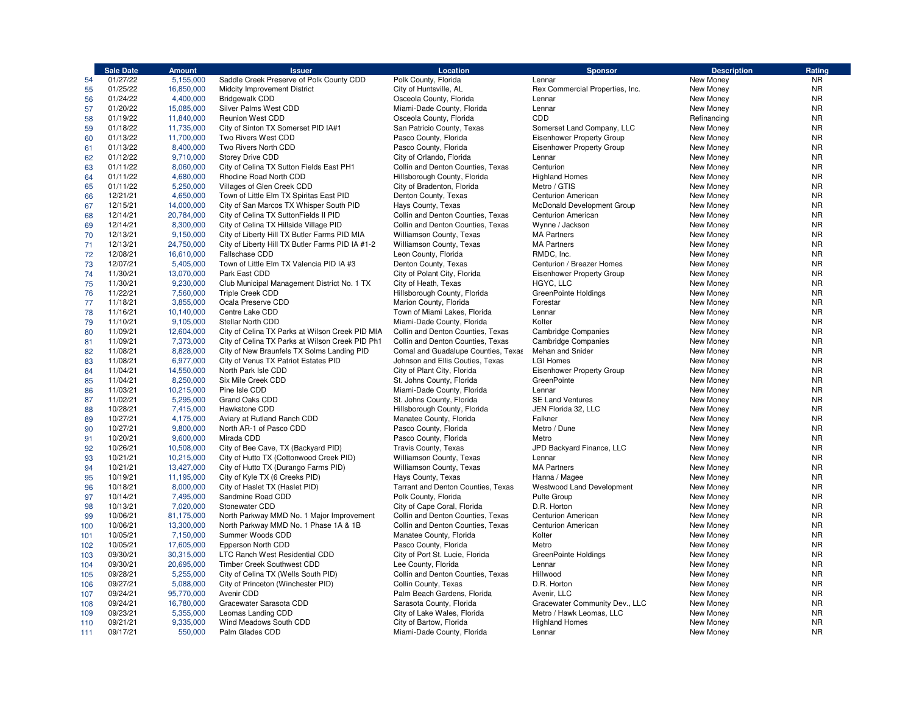|     | <b>Sale Date</b> | <b>Amount</b> | <b>Issuer</b>                                    | Location                            | <b>Sponsor</b>                                 | <b>Description</b> | Rating    |
|-----|------------------|---------------|--------------------------------------------------|-------------------------------------|------------------------------------------------|--------------------|-----------|
| 54  | 01/27/22         | 5,155,000     | Saddle Creek Preserve of Polk County CDD         | Polk County, Florida                | Lennar                                         | New Money          | <b>NR</b> |
| 55  | 01/25/22         | 16,850,000    | Midcity Improvement District                     | City of Huntsville, AL              | Rex Commercial Properties, Inc.                | New Money          | <b>NR</b> |
| 56  | 01/24/22         | 4.400.000     | <b>Bridgewalk CDD</b>                            | Osceola County, Florida             | Lennar                                         | New Money          | <b>NR</b> |
| 57  | 01/20/22         | 15,085,000    | Silver Palms West CDD                            | Miami-Dade County, Florida          | Lennar                                         | New Money          | <b>NR</b> |
| 58  | 01/19/22         | 11,840,000    | <b>Reunion West CDD</b>                          | Osceola County, Florida             | CDD                                            | Refinancing        | <b>NR</b> |
| 59  | 01/18/22         | 11,735,000    | City of Sinton TX Somerset PID IA#1              | San Patricio County, Texas          | Somerset Land Company, LLC                     | New Money          | <b>NR</b> |
| 60  | 01/13/22         | 11,700,000    | Two Rivers West CDD                              | Pasco County, Florida               | Eisenhower Property Group                      | New Money          | <b>NR</b> |
| 61  | 01/13/22         | 8,400,000     | Two Rivers North CDD                             | Pasco County, Florida               | Eisenhower Property Group                      | New Money          | <b>NR</b> |
| 62  | 01/12/22         | 9,710,000     | <b>Storey Drive CDD</b>                          | City of Orlando, Florida            | Lennar                                         | New Money          | <b>NR</b> |
| 63  | 01/11/22         | 8,060,000     | City of Celina TX Sutton Fields East PH1         | Collin and Denton Counties, Texas   | Centurion                                      | New Money          | <b>NR</b> |
| 64  | 01/11/22         | 4,680,000     | Rhodine Road North CDD                           | Hillsborough County, Florida        | <b>Highland Homes</b>                          | New Money          | <b>NR</b> |
| 65  | 01/11/22         | 5,250,000     | Villages of Glen Creek CDD                       | City of Bradenton, Florida          | Metro / GTIS                                   | New Money          | <b>NR</b> |
| 66  | 12/21/21         | 4,650,000     | Town of Little Elm TX Spiritas East PID          | Denton County, Texas                | <b>Centurion American</b>                      | New Money          | <b>NR</b> |
| 67  | 12/15/21         | 14,000,000    | City of San Marcos TX Whisper South PID          | Hays County, Texas                  | McDonald Development Group                     | New Money          | <b>NR</b> |
| 68  | 12/14/21         | 20,784,000    | City of Celina TX SuttonFields II PID            | Collin and Denton Counties, Texas   | <b>Centurion American</b>                      | New Money          | <b>NR</b> |
| 69  | 12/14/21         | 8,300,000     | City of Celina TX Hillside Village PID           | Collin and Denton Counties, Texas   | Wynne / Jackson                                | New Money          | <b>NR</b> |
| 70  | 12/13/21         | 9,150,000     | City of Liberty Hill TX Butler Farms PID MIA     | Williamson County, Texas            | <b>MA Partners</b>                             | New Money          | <b>NR</b> |
| 71  | 12/13/21         | 24,750,000    | City of Liberty Hill TX Butler Farms PID IA #1-2 | Williamson County, Texas            | <b>MA Partners</b>                             | New Money          | <b>NR</b> |
| 72  | 12/08/21         | 16,610,000    | Fallschase CDD                                   | Leon County, Florida                | RMDC, Inc.                                     | New Money          | <b>NR</b> |
| 73  | 12/07/21         | 5,405,000     | Town of Little Elm TX Valencia PID IA #3         | Denton County, Texas                | Centurion / Breazer Homes                      | New Money          | <b>NR</b> |
| 74  | 11/30/21         | 13,070,000    | Park East CDD                                    | City of Polant City, Florida        | Eisenhower Property Group                      | New Money          | <b>NR</b> |
| 75  | 11/30/21         | 9,230,000     | Club Municipal Management District No. 1 TX      | City of Heath, Texas                | HGYC, LLC                                      | New Money          | <b>NR</b> |
| 76  | 11/22/21         | 7,560,000     | Triple Creek CDD                                 | Hillsborough County, Florida        | GreenPointe Holdings                           | New Money          | <b>NR</b> |
| 77  | 11/18/21         | 3,855,000     | Ocala Preserve CDD                               | Marion County, Florida              | Forestar                                       | New Money          | <b>NR</b> |
| 78  | 11/16/21         | 10,140,000    | Centre Lake CDD                                  | Town of Miami Lakes, Florida        | Lennar                                         | New Money          | <b>NR</b> |
| 79  | 11/10/21         | 9,105,000     | <b>Stellar North CDD</b>                         | Miami-Dade County, Florida          | Kolter                                         | New Money          | <b>NR</b> |
|     | 11/09/21         | 12,604,000    | City of Celina TX Parks at Wilson Creek PID MIA  | Collin and Denton Counties, Texas   | <b>Cambridge Companies</b>                     |                    | <b>NR</b> |
| 80  | 11/09/21         |               |                                                  | Collin and Denton Counties. Texas   |                                                | New Money          | <b>NR</b> |
| 81  |                  | 7,373,000     | City of Celina TX Parks at Wilson Creek PID Ph1  |                                     | <b>Cambridge Companies</b><br>Mehan and Snider | New Money          | <b>NR</b> |
| 82  | 11/08/21         | 8,828,000     | City of New Braunfels TX Solms Landing PID       | Comal and Guadalupe Counties, Texas |                                                | New Money          |           |
| 83  | 11/08/21         | 6,977,000     | City of Venus TX Patriot Estates PID             | Johnson and Ellis Couties, Texas    | <b>LGI Homes</b>                               | New Money          | <b>NR</b> |
| 84  | 11/04/21         | 14,550,000    | North Park Isle CDD                              | City of Plant City, Florida         | Eisenhower Property Group                      | New Money          | <b>NR</b> |
| 85  | 11/04/21         | 8,250,000     | Six Mile Creek CDD                               | St. Johns County, Florida           | GreenPointe                                    | New Money          | <b>NR</b> |
| 86  | 11/03/21         | 10,215,000    | Pine Isle CDD                                    | Miami-Dade County, Florida          | Lennar                                         | New Money          | <b>NR</b> |
| 87  | 11/02/21         | 5,295,000     | Grand Oaks CDD                                   | St. Johns County, Florida           | <b>SE Land Ventures</b>                        | New Money          | <b>NR</b> |
| 88  | 10/28/21         | 7,415,000     | Hawkstone CDD                                    | Hillsborough County, Florida        | JEN Florida 32, LLC                            | New Money          | <b>NR</b> |
| 89  | 10/27/21         | 4,175,000     | Aviary at Rutland Ranch CDD                      | Manatee County, Florida             | Falkner                                        | New Money          | <b>NR</b> |
| 90  | 10/27/21         | 9,800,000     | North AR-1 of Pasco CDD                          | Pasco County, Florida               | Metro / Dune                                   | New Money          | <b>NR</b> |
| 91  | 10/20/21         | 9,600,000     | Mirada CDD                                       | Pasco County, Florida               | Metro                                          | New Money          | <b>NR</b> |
| 92  | 10/26/21         | 10,508,000    | City of Bee Cave, TX (Backyard PID)              | Travis County, Texas                | JPD Backyard Finance, LLC                      | New Money          | <b>NR</b> |
| 93  | 10/21/21         | 10,215,000    | City of Hutto TX (Cottonwood Creek PID)          | Williamson County, Texas            | Lennar                                         | New Money          | <b>NR</b> |
| 94  | 10/21/21         | 13,427,000    | City of Hutto TX (Durango Farms PID)             | Williamson County, Texas            | <b>MA Partners</b>                             | New Money          | <b>NR</b> |
| 95  | 10/19/21         | 11,195,000    | City of Kyle TX (6 Creeks PID)                   | Hays County, Texas                  | Hanna / Magee                                  | New Money          | <b>NR</b> |
| 96  | 10/18/21         | 8,000,000     | City of Haslet TX (Haslet PID)                   | Tarrant and Denton Counties, Texas  | Westwood Land Development                      | New Money          | <b>NR</b> |
| 97  | 10/14/21         | 7,495,000     | Sandmine Road CDD                                | Polk County, Florida                | Pulte Group                                    | New Money          | <b>NR</b> |
| 98  | 10/13/21         | 7,020,000     | Stonewater CDD                                   | City of Cape Coral, Florida         | D.R. Horton                                    | New Money          | <b>NR</b> |
| 99  | 10/06/21         | 81,175,000    | North Parkway MMD No. 1 Major Improvement        | Collin and Denton Counties, Texas   | <b>Centurion American</b>                      | New Money          | <b>NR</b> |
| 100 | 10/06/21         | 13,300,000    | North Parkway MMD No. 1 Phase 1A & 1B            | Collin and Denton Counties, Texas   | <b>Centurion American</b>                      | New Money          | <b>NR</b> |
| 101 | 10/05/21         | 7,150,000     | Summer Woods CDD                                 | Manatee County, Florida             | Kolter                                         | New Money          | <b>NR</b> |
| 102 | 10/05/21         | 17,605,000    | Epperson North CDD                               | Pasco County, Florida               | Metro                                          | New Money          | <b>NR</b> |
| 103 | 09/30/21         | 30,315,000    | LTC Ranch West Residential CDD                   | City of Port St. Lucie, Florida     | GreenPointe Holdings                           | New Money          | <b>NR</b> |
| 104 | 09/30/21         | 20,695,000    | <b>Timber Creek Southwest CDD</b>                | Lee County, Florida                 | Lennar                                         | New Money          | <b>NR</b> |
| 105 | 09/28/21         | 5,255,000     | City of Celina TX (Wells South PID)              | Collin and Denton Counties, Texas   | Hillwood                                       | New Money          | <b>NR</b> |
| 106 | 09/27/21         | 5,088,000     | City of Princeton (Winchester PID)               | Collin County, Texas                | D.R. Horton                                    | New Money          | <b>NR</b> |
| 107 | 09/24/21         | 95,770,000    | Avenir CDD                                       | Palm Beach Gardens, Florida         | Avenir, LLC                                    | New Money          | <b>NR</b> |
| 108 | 09/24/21         | 16,780,000    | Gracewater Sarasota CDD                          | Sarasota County, Florida            | Gracewater Community Dev., LLC                 | New Money          | <b>NR</b> |
| 109 | 09/23/21         | 5,355,000     | Leomas Landing CDD                               | City of Lake Wales, Florida         | Metro / Hawk Leomas, LLC                       | New Money          | <b>NR</b> |
| 110 | 09/21/21         | 9,335,000     | Wind Meadows South CDD                           | City of Bartow, Florida             | <b>Highland Homes</b>                          | New Money          | <b>NR</b> |
| 111 | 09/17/21         | 550,000       | Palm Glades CDD                                  | Miami-Dade County, Florida          | Lennar                                         | New Money          | <b>NR</b> |
|     |                  |               |                                                  |                                     |                                                |                    |           |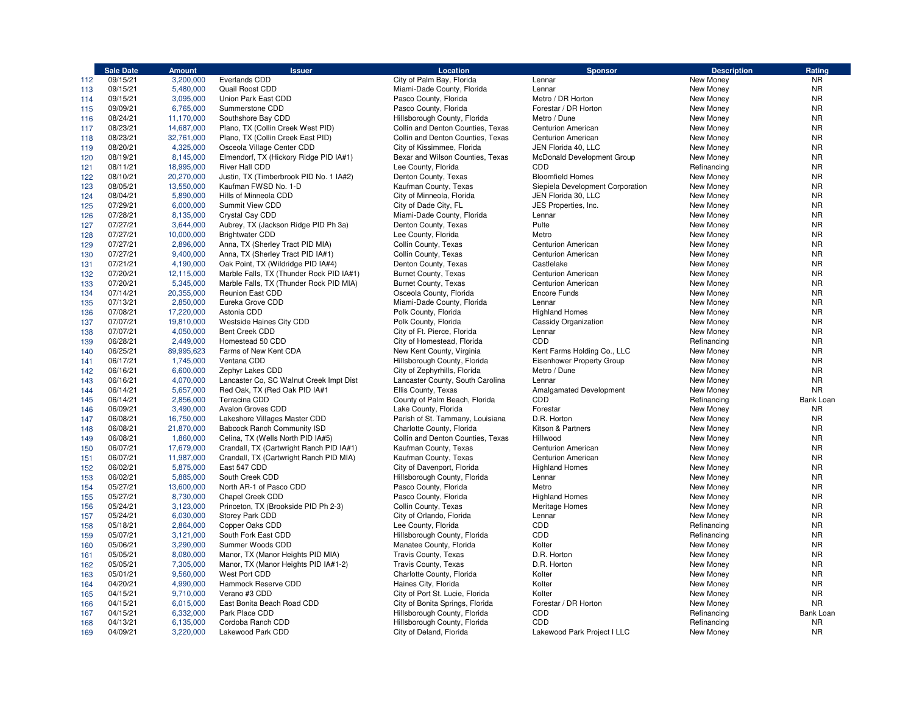|     | <b>Sale Date</b> | <b>Amount</b> | <b>Issuer</b>                            | Location                          | <b>Sponsor</b>                   | <b>Description</b> | Rating    |
|-----|------------------|---------------|------------------------------------------|-----------------------------------|----------------------------------|--------------------|-----------|
| 112 | 09/15/21         | 3,200,000     | Everlands CDD                            | City of Palm Bay, Florida         | Lennar                           | New Money          | <b>NR</b> |
| 113 | 09/15/21         | 5,480,000     | Quail Roost CDD                          | Miami-Dade County, Florida        | Lennar                           | New Money          | <b>NR</b> |
| 114 | 09/15/21         | 3,095,000     | Union Park East CDD                      | Pasco County, Florida             | Metro / DR Horton                | New Money          | <b>NR</b> |
| 115 | 09/09/21         | 6,765,000     | Summerstone CDD                          | Pasco County, Florida             | Forestar / DR Horton             | New Money          | <b>NR</b> |
| 116 | 08/24/21         | 11,170,000    | Southshore Bay CDD                       | Hillsborough County, Florida      | Metro / Dune                     | New Money          | <b>NR</b> |
| 117 | 08/23/21         | 14,687,000    | Plano, TX (Collin Creek West PID)        | Collin and Denton Counties, Texas | Centurion American               | New Money          | <b>NR</b> |
| 118 | 08/23/21         | 32,761,000    | Plano, TX (Collin Creek East PID)        | Collin and Denton Counties, Texas | <b>Centurion American</b>        | New Money          | <b>NR</b> |
| 119 | 08/20/21         | 4,325,000     | Osceola Village Center CDD               | City of Kissimmee, Florida        | JEN Florida 40, LLC              | New Money          | <b>NR</b> |
| 120 | 08/19/21         | 8,145,000     | Elmendorf, TX (Hickory Ridge PID IA#1)   | Bexar and Wilson Counties, Texas  | McDonald Development Group       | New Money          | <b>NR</b> |
| 121 | 08/11/21         | 18,995,000    | River Hall CDD                           | Lee County, Florida               | CDD                              | Refinancing        | <b>NR</b> |
| 122 | 08/10/21         | 20,270,000    | Justin, TX (Timberbrook PID No. 1 IA#2)  | Denton County, Texas              | <b>Bloomfield Homes</b>          | New Money          | <b>NR</b> |
| 123 | 08/05/21         | 13,550,000    | Kaufman FWSD No. 1-D                     | Kaufman County, Texas             | Siepiela Development Corporation | New Money          | <b>NR</b> |
| 124 | 08/04/21         | 5.890.000     | Hills of Minneola CDD                    | City of Minneola, Florida         | JEN Florida 30, LLC              | New Money          | <b>NR</b> |
| 125 | 07/29/21         | 6,000,000     | Summit View CDD                          | City of Dade City, FL             | JES Properties, Inc.             | New Money          | <b>NR</b> |
| 126 | 07/28/21         | 8,135,000     | Crystal Cay CDD                          | Miami-Dade County, Florida        | Lennar                           | New Money          | <b>NR</b> |
| 127 | 07/27/21         | 3,644,000     | Aubrey, TX (Jackson Ridge PID Ph 3a)     | Denton County, Texas              | Pulte                            | New Money          | <b>NR</b> |
| 128 | 07/27/21         | 10,000,000    | <b>Brightwater CDD</b>                   | Lee County, Florida               | Metro                            | New Money          | <b>NR</b> |
| 129 | 07/27/21         | 2,896,000     | Anna, TX (Sherley Tract PID MIA)         | Collin County, Texas              | <b>Centurion American</b>        | New Money          | <b>NR</b> |
|     | 07/27/21         | 9,400,000     | Anna, TX (Sherley Tract PID IA#1)        | Collin County, Texas              | <b>Centurion American</b>        | New Money          | <b>NR</b> |
| 130 | 07/21/21         |               | Oak Point, TX (Wildridge PID IA#4)       |                                   | Castlelake                       | New Money          | <b>NR</b> |
| 131 | 07/20/21         | 4,190,000     |                                          | Denton County, Texas              | <b>Centurion American</b>        | New Money          | <b>NR</b> |
| 132 |                  | 12,115,000    | Marble Falls, TX (Thunder Rock PID IA#1) | <b>Burnet County, Texas</b>       |                                  |                    | <b>NR</b> |
| 133 | 07/20/21         | 5,345,000     | Marble Falls, TX (Thunder Rock PID MIA)  | <b>Burnet County, Texas</b>       | <b>Centurion American</b>        | New Money          |           |
| 134 | 07/14/21         | 20,355,000    | <b>Reunion East CDD</b>                  | Osceola County, Florida           | <b>Encore Funds</b>              | New Money          | <b>NR</b> |
| 135 | 07/13/21         | 2,850,000     | Eureka Grove CDD                         | Miami-Dade County, Florida        | Lennar                           | New Money          | <b>NR</b> |
| 136 | 07/08/21         | 17,220,000    | Astonia CDD                              | Polk County, Florida              | <b>Highland Homes</b>            | New Money          | <b>NR</b> |
| 137 | 07/07/21         | 19,810,000    | Westside Haines City CDD                 | Polk County, Florida              | Cassidy Organization             | New Money          | <b>NR</b> |
| 138 | 07/07/21         | 4,050,000     | <b>Bent Creek CDD</b>                    | City of Ft. Pierce, Florida       | Lennar                           | New Money          | <b>NR</b> |
| 139 | 06/28/21         | 2,449,000     | Homestead 50 CDD                         | City of Homestead, Florida        | CDD                              | Refinancing        | <b>NR</b> |
| 140 | 06/25/21         | 89,995,623    | Farms of New Kent CDA                    | New Kent County, Virginia         | Kent Farms Holding Co., LLC      | New Money          | <b>NR</b> |
| 141 | 06/17/21         | 1,745,000     | Ventana CDD                              | Hillsborough County, Florida      | Eisenhower Property Group        | New Money          | <b>NR</b> |
| 142 | 06/16/21         | 6,600,000     | Zephyr Lakes CDD                         | City of Zephyrhills, Florida      | Metro / Dune                     | New Money          | <b>NR</b> |
| 143 | 06/16/21         | 4,070,000     | Lancaster Co, SC Walnut Creek Impt Dist  | Lancaster County, South Carolina  | Lennar                           | New Money          | <b>NR</b> |
| 144 | 06/14/21         | 5,657,000     | Red Oak, TX (Red Oak PID IA#1            | Ellis County, Texas               | Amalgamated Development          | New Money          | <b>NR</b> |
| 145 | 06/14/21         | 2,856,000     | Terracina CDD                            | County of Palm Beach, Florida     | CDD                              | Refinancing        | Bank Loan |
| 146 | 06/09/21         | 3,490,000     | Avalon Groves CDD                        | Lake County, Florida              | Forestar                         | New Money          | <b>NR</b> |
| 147 | 06/08/21         | 16,750,000    | Lakeshore Villages Master CDD            | Parish of St. Tammany, Louisiana  | D.R. Horton                      | New Money          | <b>NR</b> |
| 148 | 06/08/21         | 21,870,000    | <b>Babcock Ranch Community ISD</b>       | Charlotte County, Florida         | Kitson & Partners                | New Money          | <b>NR</b> |
| 149 | 06/08/21         | 1,860,000     | Celina, TX (Wells North PID IA#5)        | Collin and Denton Counties, Texas | Hillwood                         | New Money          | <b>NR</b> |
| 150 | 06/07/21         | 17,679,000    | Crandall, TX (Cartwright Ranch PID IA#1) | Kaufman County, Texas             | <b>Centurion American</b>        | New Money          | <b>NR</b> |
| 151 | 06/07/21         | 11,987,000    | Crandall, TX (Cartwright Ranch PID MIA)  | Kaufman County, Texas             | <b>Centurion American</b>        | New Money          | <b>NR</b> |
| 152 | 06/02/21         | 5,875,000     | East 547 CDD                             | City of Davenport, Florida        | <b>Highland Homes</b>            | New Money          | <b>NR</b> |
| 153 | 06/02/21         | 5,885,000     | South Creek CDD                          | Hillsborough County, Florida      | Lennar                           | New Money          | <b>NR</b> |
| 154 | 05/27/21         | 13,600,000    | North AR-1 of Pasco CDD                  | Pasco County, Florida             | Metro                            | New Money          | <b>NR</b> |
| 155 | 05/27/21         | 8,730,000     | Chapel Creek CDD                         | Pasco County, Florida             | <b>Highland Homes</b>            | New Money          | <b>NR</b> |
| 156 | 05/24/21         | 3,123,000     | Princeton, TX (Brookside PID Ph 2-3)     | Collin County, Texas              | Meritage Homes                   | New Money          | <b>NR</b> |
| 157 | 05/24/21         | 6,030,000     | Storey Park CDD                          | City of Orlando, Florida          | Lennar                           | New Money          | <b>NR</b> |
| 158 | 05/18/21         | 2,864,000     | Copper Oaks CDD                          | Lee County, Florida               | CDD                              | Refinancing        | <b>NR</b> |
| 159 | 05/07/21         | 3,121,000     | South Fork East CDD                      | Hillsborough County, Florida      | CDD                              | Refinancing        | <b>NR</b> |
| 160 | 05/06/21         | 3,290,000     | Summer Woods CDD                         | Manatee County, Florida           | Kolter                           | New Money          | <b>NR</b> |
| 161 | 05/05/21         | 8,080,000     | Manor, TX (Manor Heights PID MIA)        | Travis County, Texas              | D.R. Horton                      | New Money          | <b>NR</b> |
| 162 | 05/05/21         | 7,305,000     | Manor, TX (Manor Heights PID IA#1-2)     | Travis County, Texas              | D.R. Horton                      | New Money          | <b>NR</b> |
| 163 | 05/01/21         | 9,560,000     | West Port CDD                            | Charlotte County, Florida         | Kolter                           | New Money          | <b>NR</b> |
| 164 | 04/20/21         | 4,990,000     | Hammock Reserve CDD                      | Haines City, Florida              | Kolter                           | New Money          | <b>NR</b> |
| 165 | 04/15/21         | 9,710,000     | Verano #3 CDD                            | City of Port St. Lucie, Florida   | Kolter                           | New Money          | <b>NR</b> |
| 166 | 04/15/21         | 6,015,000     | East Bonita Beach Road CDD               | City of Bonita Springs, Florida   | Forestar / DR Horton             | New Money          | <b>NR</b> |
| 167 | 04/15/21         | 6,332,000     | Park Place CDD                           | Hillsborough County, Florida      | CDD                              | Refinancing        | Bank Loan |
| 168 | 04/13/21         | 6,135,000     | Cordoba Ranch CDD                        | Hillsborough County, Florida      | <b>CDD</b>                       | Refinancing        | <b>NR</b> |
| 169 | 04/09/21         | 3,220,000     | Lakewood Park CDD                        | City of Deland, Florida           | Lakewood Park Project I LLC      | New Money          | <b>NR</b> |
|     |                  |               |                                          |                                   |                                  |                    |           |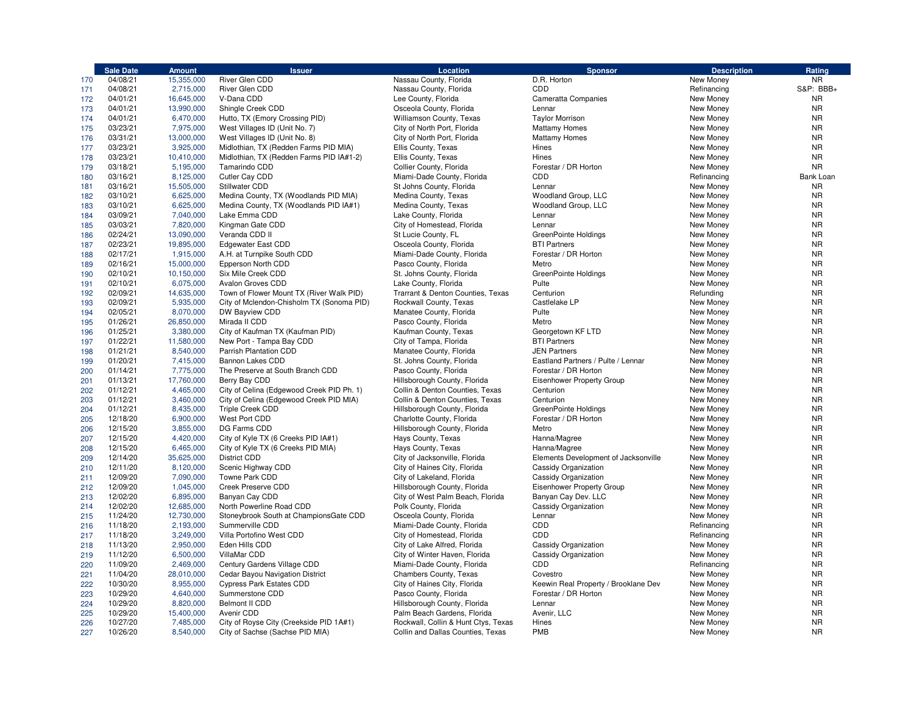|     | <b>Sale Date</b> | <b>Amount</b> | <b>Issuer</b>                             | Location                                     | Sponsor                              | <b>Description</b> | Rating    |
|-----|------------------|---------------|-------------------------------------------|----------------------------------------------|--------------------------------------|--------------------|-----------|
| 170 | 04/08/21         | 15,355,000    | <b>River Glen CDD</b>                     | Nassau County, Florida                       | D.R. Horton                          | New Money          | <b>NR</b> |
| 171 | 04/08/21         | 2,715,000     | River Glen CDD                            | Nassau County, Florida                       | CDD                                  | Refinancing        | S&P: BBB+ |
| 172 | 04/01/21         | 16,645,000    | V-Dana CDD                                | Lee County, Florida                          | Cameratta Companies                  | New Money          | <b>NR</b> |
| 173 | 04/01/21         | 13,990,000    | Shingle Creek CDD                         | Osceola County, Florida                      | Lennar                               | New Money          | <b>NR</b> |
| 174 | 04/01/21         | 6,470,000     | Hutto, TX (Emory Crossing PID)            | Williamson County, Texas                     | <b>Taylor Morrison</b>               | New Money          | <b>NR</b> |
| 175 | 03/23/21         | 7,975,000     | West Villages ID (Unit No. 7)             | City of North Port, Florida                  | <b>Mattamy Homes</b>                 | New Money          | <b>NR</b> |
| 176 | 03/31/21         | 13,000,000    | West Villages ID (Unit No. 8)             | City of North Port, Florida                  | <b>Mattamy Homes</b>                 | New Money          | <b>NR</b> |
| 177 | 03/23/21         | 3,925,000     | Midlothian, TX (Redden Farms PID MIA)     | Ellis County, Texas                          | Hines                                | New Money          | <b>NR</b> |
| 178 | 03/23/21         | 10,410,000    | Midlothian, TX (Redden Farms PID IA#1-2)  | Ellis County, Texas                          | Hines                                | New Money          | <b>NR</b> |
| 179 | 03/18/21         | 5,195,000     | Tamarindo CDD                             | Collier County, Florida                      | Forestar / DR Horton                 | New Money          | <b>NR</b> |
| 180 | 03/16/21         | 8,125,000     | Cutler Cay CDD                            | Miami-Dade County, Florida                   | CDD                                  | Refinancing        | Bank Loan |
| 181 | 03/16/21         | 15,505,000    | Stillwater CDD                            | St Johns County, Florida                     | Lennar                               | New Money          | <b>NR</b> |
| 182 | 03/10/21         | 6,625,000     | Medina County, TX (Woodlands PID MIA)     | Medina County, Texas                         | Woodland Group, LLC                  | New Money          | <b>NR</b> |
| 183 | 03/10/21         | 6,625,000     | Medina County, TX (Woodlands PID IA#1)    | Medina County, Texas                         | Woodland Group, LLC                  | New Money          | <b>NR</b> |
| 184 | 03/09/21         | 7,040,000     | Lake Emma CDD                             | Lake County, Florida                         | Lennar                               | New Money          | <b>NR</b> |
| 185 | 03/03/21         | 7,820,000     | Kingman Gate CDD                          | City of Homestead, Florida                   | Lennar                               | New Money          | <b>NR</b> |
| 186 | 02/24/21         | 13,090,000    | Veranda CDD II                            | St Lucie County, FL                          | GreenPointe Holdings                 | New Money          | <b>NR</b> |
| 187 | 02/23/21         | 19,895,000    | <b>Edgewater East CDD</b>                 | Osceola County, Florida                      | <b>BTI Partners</b>                  | New Money          | <b>NR</b> |
|     | 02/17/21         | 1,915,000     | A.H. at Turnpike South CDD                | Miami-Dade County, Florida                   | Forestar / DR Horton                 | New Money          | <b>NR</b> |
| 188 |                  |               |                                           |                                              |                                      |                    |           |
| 189 | 02/16/21         | 15,000,000    | Epperson North CDD                        | Pasco County, Florida                        | Metro                                | New Money          | <b>NR</b> |
| 190 | 02/10/21         | 10,150,000    | Six Mile Creek CDD                        | St. Johns County, Florida                    | GreenPointe Holdings                 | New Money          | <b>NR</b> |
| 191 | 02/10/21         | 6,075,000     | Avalon Groves CDD                         | Lake County, Florida                         | Pulte                                | New Money          | <b>NR</b> |
| 192 | 02/09/21         | 14,635,000    | Town of Flower Mount TX (River Walk PID)  | <b>Trarrant &amp; Denton Counties, Texas</b> | Centurion                            | Refunding          | <b>NR</b> |
| 193 | 02/09/21         | 5,935,000     | City of Mclendon-Chisholm TX (Sonoma PID) | Rockwall County, Texas                       | Castlelake LP                        | New Money          | <b>NR</b> |
| 194 | 02/05/21         | 8,070,000     | DW Bayview CDD                            | Manatee County, Florida                      | Pulte                                | New Money          | <b>NR</b> |
| 195 | 01/26/21         | 26,850,000    | Mirada II CDD                             | Pasco County, Florida                        | Metro                                | New Money          | <b>NR</b> |
| 196 | 01/25/21         | 3,380,000     | City of Kaufman TX (Kaufman PID)          | Kaufman County, Texas                        | Georgetown KF LTD                    | New Money          | <b>NR</b> |
| 197 | 01/22/21         | 11,580,000    | New Port - Tampa Bay CDD                  | City of Tampa, Florida                       | <b>BTI Partners</b>                  | New Money          | <b>NR</b> |
| 198 | 01/21/21         | 8,540,000     | <b>Parrish Plantation CDD</b>             | Manatee County, Florida                      | <b>JEN Partners</b>                  | New Money          | <b>NR</b> |
| 199 | 01/20/21         | 7,415,000     | <b>Bannon Lakes CDD</b>                   | St. Johns County, Florida                    | Eastland Partners / Pulte / Lennar   | New Money          | <b>NR</b> |
| 200 | 01/14/21         | 7,775,000     | The Preserve at South Branch CDD          | Pasco County, Florida                        | Forestar / DR Horton                 | New Money          | <b>NR</b> |
| 201 | 01/13/21         | 17,760,000    | Berry Bay CDD                             | Hillsborough County, Florida                 | Eisenhower Property Group            | New Money          | <b>NR</b> |
| 202 | 01/12/21         | 4,465,000     | City of Celina (Edgewood Creek PID Ph. 1) | Collin & Denton Counties, Texas              | Centurion                            | New Money          | <b>NR</b> |
| 203 | 01/12/21         | 3,460,000     | City of Celina (Edgewood Creek PID MIA)   | Collin & Denton Counties, Texas              | Centurion                            | New Money          | <b>NR</b> |
| 204 | 01/12/21         | 8,435,000     | <b>Triple Creek CDD</b>                   | Hillsborough County, Florida                 | GreenPointe Holdings                 | New Money          | <b>NR</b> |
| 205 | 12/18/20         | 6,900,000     | West Port CDD                             | Charlotte County, Florida                    | Forestar / DR Horton                 | New Money          | <b>NR</b> |
| 206 | 12/15/20         | 3,855,000     | DG Farms CDD                              | Hillsborough County, Florida                 | Metro                                | New Money          | <b>NR</b> |
| 207 | 12/15/20         | 4,420,000     | City of Kyle TX (6 Creeks PID IA#1)       | Hays County, Texas                           | Hanna/Magree                         | New Money          | <b>NR</b> |
| 208 | 12/15/20         | 6,465,000     | City of Kyle TX (6 Creeks PID MIA)        | Hays County, Texas                           | Hanna/Magree                         | New Money          | <b>NR</b> |
| 209 | 12/14/20         | 35,625,000    | <b>District CDD</b>                       | City of Jacksonville, Florida                | Elements Development of Jacksonville | New Money          | <b>NR</b> |
| 210 | 12/11/20         | 8,120,000     | Scenic Highway CDD                        | City of Haines City, Florida                 | Cassidy Organization                 | New Money          | <b>NR</b> |
| 211 | 12/09/20         | 7,090,000     | Towne Park CDD                            | City of Lakeland, Florida                    | Cassidy Organization                 | New Money          | <b>NR</b> |
| 212 | 12/09/20         | 1,045,000     | Creek Preserve CDD                        | Hillsborough County, Florida                 | Eisenhower Property Group            | New Money          | <b>NR</b> |
| 213 | 12/02/20         | 6,895,000     | Banyan Cay CDD                            | City of West Palm Beach, Florida             | Banyan Cay Dev. LLC                  | New Money          | <b>NR</b> |
| 214 | 12/02/20         | 12,685,000    | North Powerline Road CDD                  | Polk County, Florida                         | Cassidy Organization                 | New Money          | <b>NR</b> |
| 215 | 11/24/20         | 12,730,000    | Stoneybrook South at ChampionsGate CDD    | Osceola County, Florida                      | Lennar                               | New Money          | <b>NR</b> |
| 216 | 11/18/20         | 2,193,000     | Summerville CDD                           | Miami-Dade County, Florida                   | CDD                                  | Refinancing        | <b>NR</b> |
| 217 | 11/18/20         | 3,249,000     | Villa Portofino West CDD                  | City of Homestead, Florida                   | CDD                                  | Refinancing        | <b>NR</b> |
| 218 | 11/13/20         | 2,950,000     | Eden Hills CDD                            | City of Lake Alfred, Florida                 | Cassidy Organization                 | New Money          | <b>NR</b> |
| 219 | 11/12/20         | 6,500,000     | VillaMar CDD                              | City of Winter Haven, Florida                | Cassidy Organization                 | New Money          | <b>NR</b> |
| 220 | 11/09/20         | 2,469,000     | Century Gardens Village CDD               | Miami-Dade County, Florida                   | CDD                                  | Refinancing        | <b>NR</b> |
| 221 | 11/04/20         | 28,010,000    | Cedar Bayou Navigation District           | Chambers County, Texas                       | Covestro                             | New Money          | <b>NR</b> |
| 222 | 10/30/20         | 8,955,000     | <b>Cypress Park Estates CDD</b>           | City of Haines City, Florida                 | Keewin Real Property / Brooklane Dev | New Money          | <b>NR</b> |
| 223 | 10/29/20         | 4,640,000     | Summerstone CDD                           | Pasco County, Florida                        | Forestar / DR Horton                 | New Money          | <b>NR</b> |
| 224 | 10/29/20         | 8,820,000     | Belmont II CDD                            | Hillsborough County, Florida                 | Lennar                               | New Money          | <b>NR</b> |
| 225 | 10/29/20         | 15,400,000    | Avenir CDD                                | Palm Beach Gardens, Florida                  | Avenir, LLC                          | New Money          | <b>NR</b> |
| 226 | 10/27/20         | 7,485,000     | City of Royse City (Creekside PID 1A#1)   | Rockwall, Collin & Hunt Ctys, Texas          | Hines                                | New Money          | <b>NR</b> |
| 227 | 10/26/20         | 8,540,000     | City of Sachse (Sachse PID MIA)           | Collin and Dallas Counties, Texas            | PMB                                  | New Money          | <b>NR</b> |
|     |                  |               |                                           |                                              |                                      |                    |           |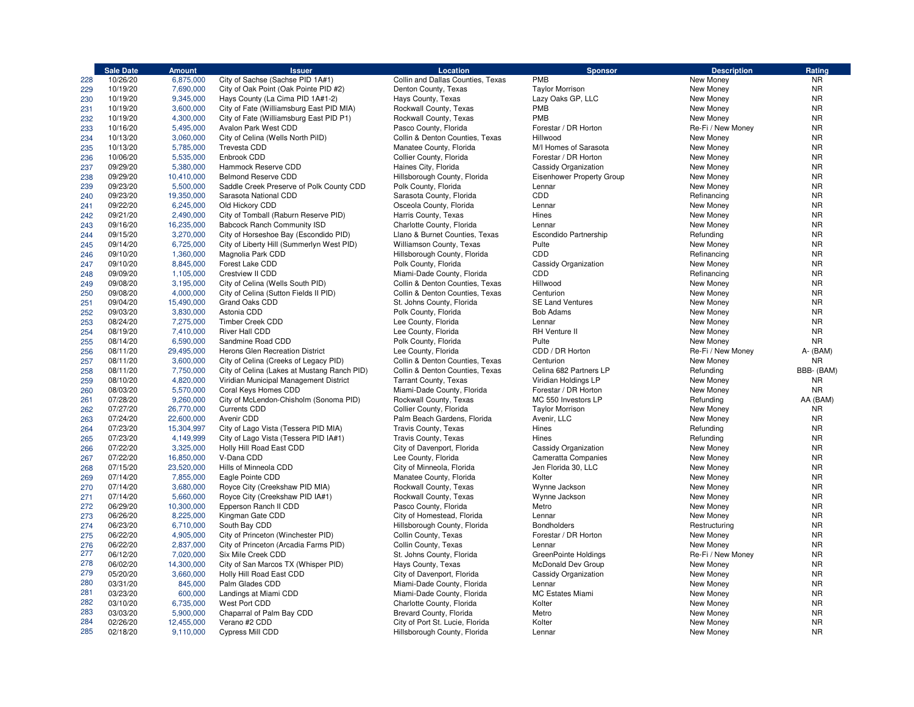|     | <b>Sale Date</b> | <b>Amount</b> | <b>Issuer</b>                               | Location                          | <b>Sponsor</b>              | <b>Description</b> | Rating     |
|-----|------------------|---------------|---------------------------------------------|-----------------------------------|-----------------------------|--------------------|------------|
| 228 | 10/26/20         | 6,875,000     | City of Sachse (Sachse PID 1A#1)            | Collin and Dallas Counties, Texas | PMB                         | New Money          | <b>NR</b>  |
| 229 | 10/19/20         | 7,690,000     | City of Oak Point (Oak Pointe PID #2)       | Denton County, Texas              | <b>Taylor Morrison</b>      | New Money          | <b>NR</b>  |
| 230 | 10/19/20         | 9,345,000     | Hays County (La Cima PID 1A#1-2)            | Hays County, Texas                | Lazy Oaks GP, LLC           | New Money          | <b>NR</b>  |
| 231 | 10/19/20         | 3,600,000     | City of Fate (Williamsburg East PID MIA)    | Rockwall County, Texas            | <b>PMB</b>                  | New Money          | <b>NR</b>  |
| 232 | 10/19/20         | 4,300,000     | City of Fate (Williamsburg East PID P1)     | Rockwall County, Texas            | <b>PMB</b>                  | New Money          | <b>NR</b>  |
| 233 | 10/16/20         | 5,495,000     | Avalon Park West CDD                        | Pasco County, Florida             | Forestar / DR Horton        | Re-Fi / New Money  | <b>NR</b>  |
| 234 | 10/13/20         | 3,060,000     | City of Celina (Wells North PilD)           | Collin & Denton Counties, Texas   | Hillwood                    | New Money          | <b>NR</b>  |
| 235 | 10/13/20         | 5,785,000     | Trevesta CDD                                | Manatee County, Florida           | M/I Homes of Sarasota       | New Money          | <b>NR</b>  |
| 236 | 10/06/20         | 5,535,000     | Enbrook CDD                                 | Collier County, Florida           | Forestar / DR Horton        | New Money          | <b>NR</b>  |
| 237 | 09/29/20         | 5,380,000     | Hammock Reserve CDD                         | Haines City, Florida              | <b>Cassidy Organization</b> | New Money          | <b>NR</b>  |
| 238 | 09/29/20         | 10,410,000    | <b>Belmond Reserve CDD</b>                  | Hillsborough County, Florida      | Eisenhower Property Group   | New Money          | <b>NR</b>  |
| 239 | 09/23/20         | 5,500,000     | Saddle Creek Preserve of Polk County CDD    | Polk County, Florida              | Lennar                      | New Money          | <b>NR</b>  |
| 240 | 09/23/20         | 19,350,000    | Sarasota National CDD                       | Sarasota County, Florida          | CDD                         | Refinancing        | <b>NR</b>  |
| 241 | 09/22/20         | 6,245,000     | Old Hickory CDD                             | Osceola County, Florida           | Lennar                      | New Money          | <b>NR</b>  |
| 242 | 09/21/20         | 2,490,000     | City of Tomball (Raburn Reserve PID)        | Harris County, Texas              | Hines                       | New Money          | <b>NR</b>  |
| 243 | 09/16/20         | 16,235,000    | <b>Babcock Ranch Community ISD</b>          | Charlotte County, Florida         | Lennar                      | New Money          | <b>NR</b>  |
| 244 | 09/15/20         | 3,270,000     | City of Horseshoe Bay (Escondido PID)       | Llano & Burnet Counties, Texas    | Escondido Partnership       | Refunding          | <b>NR</b>  |
| 245 | 09/14/20         | 6,725,000     | City of Liberty Hill (Summerlyn West PID)   | Williamson County, Texas          | Pulte                       | New Money          | <b>NR</b>  |
| 246 | 09/10/20         | 1,360,000     | Magnolia Park CDD                           | Hillsborough County, Florida      | CDD                         | Refinancing        | <b>NR</b>  |
| 247 | 09/10/20         | 8,845,000     | Forest Lake CDD                             | Polk County, Florida              | Cassidy Organization        | New Money          | <b>NR</b>  |
| 248 | 09/09/20         | 1,105,000     | Crestview II CDD                            | Miami-Dade County, Florida        | CDD                         | Refinancing        | <b>NR</b>  |
| 249 | 09/08/20         | 3,195,000     | City of Celina (Wells South PID)            | Collin & Denton Counties, Texas   | Hillwood                    | New Money          | <b>NR</b>  |
| 250 | 09/08/20         | 4,000,000     | City of Celina (Sutton Fields II PID)       | Collin & Denton Counties, Texas   | Centurion                   | New Money          | <b>NR</b>  |
| 251 | 09/04/20         | 15,490,000    | Grand Oaks CDD                              | St. Johns County, Florida         | <b>SE Land Ventures</b>     | New Money          | <b>NR</b>  |
| 252 | 09/03/20         | 3,830,000     | Astonia CDD                                 | Polk County, Florida              | <b>Bob Adams</b>            | New Money          | <b>NR</b>  |
| 253 | 08/24/20         | 7,275,000     | <b>Timber Creek CDD</b>                     | Lee County, Florida               | Lennar                      | New Money          | <b>NR</b>  |
| 254 | 08/19/20         | 7,410,000     | River Hall CDD                              | Lee County, Florida               | RH Venture II               | New Money          | <b>NR</b>  |
| 255 | 08/14/20         | 6,590,000     | Sandmine Road CDD                           | Polk County, Florida              | Pulte                       | New Money          | <b>NR</b>  |
| 256 | 08/11/20         | 29,495,000    | Herons Glen Recreation District             | Lee County, Florida               | CDD / DR Horton             | Re-Fi / New Money  | A- (BAM)   |
| 257 | 08/11/20         | 3,600,000     | City of Celina (Creeks of Legacy PID)       | Collin & Denton Counties, Texas   | Centurion                   | New Money          | <b>NR</b>  |
| 258 | 08/11/20         | 7,750,000     | City of Celina (Lakes at Mustang Ranch PID) | Collin & Denton Counties, Texas   | Celina 682 Partners LP      | Refunding          | BBB- (BAM) |
| 259 | 08/10/20         | 4,820,000     | Viridian Municipal Management District      | <b>Tarrant County, Texas</b>      | Viridian Holdings LP        | New Money          | <b>NR</b>  |
| 260 | 08/03/20         | 5,570,000     | Coral Keys Homes CDD                        | Miami-Dade County, Florida        | Forestar / DR Horton        | New Money          | <b>NR</b>  |
| 261 | 07/28/20         | 9,260,000     | City of McLendon-Chisholm (Sonoma PID)      | Rockwall County, Texas            | MC 550 Investors LP         | Refunding          | AA (BAM)   |
| 262 | 07/27/20         | 26,770,000    | <b>Currents CDD</b>                         | Collier County, Florida           | <b>Taylor Morrison</b>      | New Money          | <b>NR</b>  |
| 263 | 07/24/20         | 22,600,000    | Avenir CDD                                  | Palm Beach Gardens, Florida       | Avenir, LLC                 | New Money          | <b>NR</b>  |
| 264 | 07/23/20         | 15,304,997    | City of Lago Vista (Tessera PID MIA)        | Travis County, Texas              | Hines                       | Refunding          | <b>NR</b>  |
| 265 | 07/23/20         | 4,149,999     | City of Lago Vista (Tessera PID IA#1)       | <b>Travis County, Texas</b>       | Hines                       | Refunding          | <b>NR</b>  |
| 266 | 07/22/20         | 3,325,000     | Holly Hill Road East CDD                    | City of Davenport, Florida        | Cassidy Organization        | New Money          | <b>NR</b>  |
| 267 | 07/22/20         | 16,850,000    | V-Dana CDD                                  | Lee County, Florida               | Cameratta Companies         | New Money          | <b>NR</b>  |
| 268 | 07/15/20         | 23,520,000    | Hills of Minneola CDD                       | City of Minneola, Florida         | Jen Florida 30, LLC         | New Money          | <b>NR</b>  |
| 269 | 07/14/20         | 7,855,000     | Eagle Pointe CDD                            | Manatee County, Florida           | Kolter                      | New Money          | <b>NR</b>  |
| 270 | 07/14/20         | 3,680,000     | Royce City (Creekshaw PID MIA)              | Rockwall County, Texas            | Wynne Jackson               | New Money          | <b>NR</b>  |
| 271 | 07/14/20         | 5,660,000     | Royce City (Creekshaw PID IA#1)             | Rockwall County, Texas            | Wynne Jackson               | New Money          | <b>NR</b>  |
| 272 | 06/29/20         | 10,300,000    | Epperson Ranch II CDD                       | Pasco County, Florida             | Metro                       | New Money          | <b>NR</b>  |
| 273 | 06/26/20         | 8,225,000     | Kingman Gate CDD                            | City of Homestead, Florida        | Lennar                      | New Money          | <b>NR</b>  |
| 274 | 06/23/20         | 6,710,000     | South Bay CDD                               | Hillsborough County, Florida      | Bondholders                 | Restructuring      | <b>NR</b>  |
| 275 | 06/22/20         | 4,905,000     | City of Princeton (Winchester PID)          | Collin County, Texas              | Forestar / DR Horton        | New Money          | <b>NR</b>  |
| 276 | 06/22/20         | 2,837,000     | City of Princeton (Arcadia Farms PID)       | Collin County, Texas              | Lennar                      | New Money          | <b>NR</b>  |
| 277 | 06/12/20         | 7,020,000     | Six Mile Creek CDD                          | St. Johns County, Florida         | GreenPointe Holdings        | Re-Fi / New Money  | <b>NR</b>  |
| 278 | 06/02/20         | 14,300,000    | City of San Marcos TX (Whisper PID)         | Hays County, Texas                | McDonald Dev Group          | New Money          | <b>NR</b>  |
| 279 | 05/20/20         | 3,660,000     | Holly Hill Road East CDD                    | City of Davenport, Florida        | Cassidy Organization        | New Money          | <b>NR</b>  |
| 280 | 03/31/20         | 845,000       | Palm Glades CDD                             | Miami-Dade County, Florida        | Lennar                      | New Money          | <b>NR</b>  |
| 281 | 03/23/20         | 600,000       | Landings at Miami CDD                       | Miami-Dade County, Florida        | MC Estates Miami            | New Money          | <b>NR</b>  |
| 282 | 03/10/20         | 6,735,000     | West Port CDD                               | Charlotte County, Florida         | Kolter                      | New Money          | <b>NR</b>  |
| 283 | 03/03/20         | 5,900,000     | Chaparral of Palm Bay CDD                   | Brevard County, Florida           | Metro                       | New Money          | <b>NR</b>  |
| 284 | 02/26/20         | 12,455,000    | Verano #2 CDD                               | City of Port St. Lucie, Florida   | Kolter                      | New Money          | <b>NR</b>  |
| 285 | 02/18/20         | 9,110,000     | <b>Cypress Mill CDD</b>                     | Hillsborough County, Florida      | Lennar                      | New Money          | <b>NR</b>  |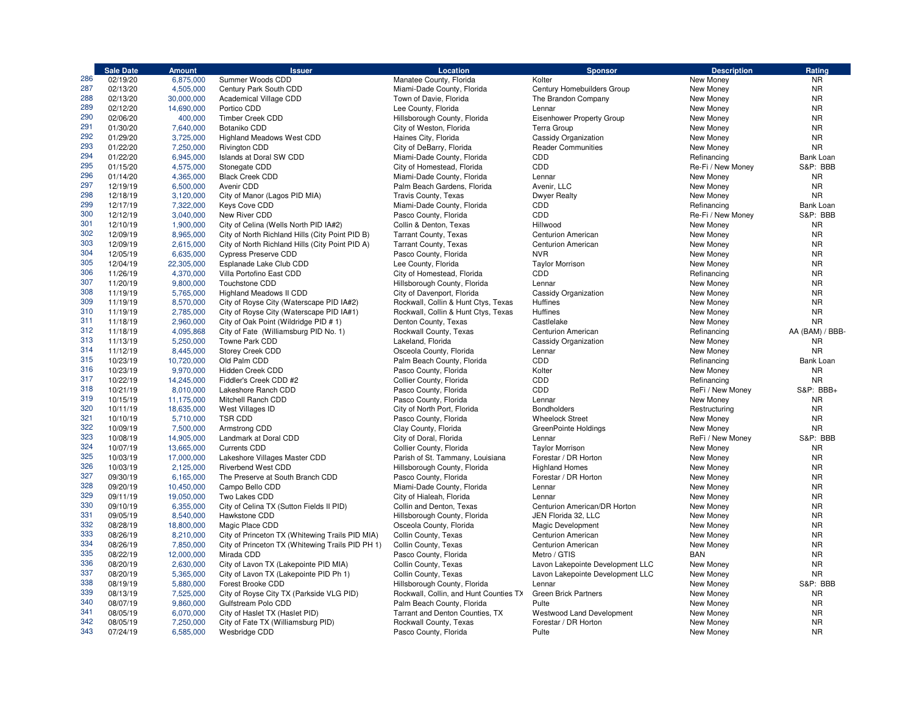|     | <b>Sale Date</b> | <b>Amount</b> | <b>Issuer</b>                                    | Location                               | Sponsor                          | <b>Description</b> | Rating          |
|-----|------------------|---------------|--------------------------------------------------|----------------------------------------|----------------------------------|--------------------|-----------------|
| 286 | 02/19/20         | 6,875,000     | Summer Woods CDD                                 | Manatee County, Florida                | Kolter                           | New Money          | <b>NR</b>       |
| 287 | 02/13/20         | 4,505,000     | Century Park South CDD                           | Miami-Dade County, Florida             | Century Homebuilders Group       | New Money          | <b>NR</b>       |
| 288 | 02/13/20         | 30,000,000    | Academical Village CDD                           | Town of Davie, Florida                 | The Brandon Company              | New Money          | <b>NR</b>       |
| 289 | 02/12/20         | 14,690,000    | Portico CDD                                      | Lee County, Florida                    | Lennar                           | New Money          | <b>NR</b>       |
| 290 | 02/06/20         | 400,000       | Timber Creek CDD                                 | Hillsborough County, Florida           | Eisenhower Property Group        | New Money          | <b>NR</b>       |
| 291 | 01/30/20         | 7,640,000     | Botaniko CDD                                     | City of Weston, Florida                | Terra Group                      | New Money          | <b>NR</b>       |
| 292 | 01/29/20         | 3,725,000     | <b>Highland Meadows West CDD</b>                 | Haines City, Florida                   | Cassidy Organization             | New Money          | <b>NR</b>       |
| 293 | 01/22/20         | 7,250,000     | <b>Rivington CDD</b>                             | City of DeBarry, Florida               | <b>Reader Communities</b>        | New Money          | <b>NR</b>       |
| 294 | 01/22/20         | 6,945,000     | Islands at Doral SW CDD                          | Miami-Dade County, Florida             | CDD                              | Refinancing        | Bank Loan       |
| 295 | 01/15/20         | 4,575,000     | Stonegate CDD                                    | City of Homestead, Florida             | CDD                              | Re-Fi / New Money  | S&P: BBB        |
| 296 | 01/14/20         | 4,365,000     | <b>Black Creek CDD</b>                           | Miami-Dade County, Florida             | Lennar                           | New Money          | <b>NR</b>       |
| 297 | 12/19/19         | 6,500,000     | Avenir CDD                                       | Palm Beach Gardens, Florida            | Avenir, LLC                      | New Money          | <b>NR</b>       |
| 298 | 12/18/19         | 3,120,000     | City of Manor (Lagos PID MIA)                    | Travis County, Texas                   | <b>Dwyer Realty</b>              | New Money          | <b>NR</b>       |
| 299 | 12/17/19         | 7,322,000     | <b>Keys Cove CDD</b>                             | Miami-Dade County, Florida             | CDD                              | Refinancing        | Bank Loan       |
| 300 | 12/12/19         | 3,040,000     | New River CDD                                    | Pasco County, Florida                  | CDD                              | Re-Fi / New Money  | S&P: BBB        |
| 301 | 12/10/19         | 1,900,000     | City of Celina (Wells North PID IA#2)            | Collin & Denton, Texas                 | Hillwood                         | New Money          | <b>NR</b>       |
| 302 | 12/09/19         | 8,965,000     | City of North Richland Hills (City Point PID B)  | <b>Tarrant County, Texas</b>           | <b>Centurion American</b>        | New Money          | <b>NR</b>       |
| 303 | 12/09/19         | 2,615,000     | City of North Richland Hills (City Point PID A)  | <b>Tarrant County, Texas</b>           | <b>Centurion American</b>        | New Money          | <b>NR</b>       |
| 304 | 12/05/19         | 6,635,000     | <b>Cypress Preserve CDD</b>                      | Pasco County, Florida                  | <b>NVR</b>                       | New Money          | <b>NR</b>       |
| 305 | 12/04/19         | 22,305,000    | Esplanade Lake Club CDD                          | Lee County, Florida                    | <b>Taylor Morrison</b>           | New Money          | <b>NR</b>       |
| 306 | 11/26/19         | 4,370,000     | Villa Portofino East CDD                         | City of Homestead, Florida             | CDD                              | Refinancing        | <b>NR</b>       |
| 307 | 11/20/19         | 9,800,000     | Touchstone CDD                                   | Hillsborough County, Florida           | Lennar                           | New Money          | <b>NR</b>       |
| 308 | 11/19/19         | 5,765,000     | <b>Highland Meadows II CDD</b>                   | City of Davenport, Florida             | Cassidy Organization             | New Money          | <b>NR</b>       |
| 309 | 11/19/19         | 8,570,000     | City of Royse City (Waterscape PID IA#2)         | Rockwall, Collin & Hunt Ctys, Texas    | Huffines                         | New Money          | <b>NR</b>       |
| 310 | 11/19/19         | 2,785,000     | City of Royse City (Waterscape PID IA#1)         | Rockwall, Collin & Hunt Ctys, Texas    | Huffines                         | New Money          | <b>NR</b>       |
| 311 | 11/18/19         | 2,960,000     | City of Oak Point (Wildridge PID # 1)            | Denton County, Texas                   | Castlelake                       | New Money          | <b>NR</b>       |
| 312 | 11/18/19         | 4,095,868     | City of Fate (Williamsburg PID No. 1)            | Rockwall County, Texas                 | <b>Centurion American</b>        | Refinancing        | AA (BAM) / BBB- |
| 313 | 11/13/19         | 5,250,000     | Towne Park CDD                                   | Lakeland, Florida                      | Cassidy Organization             | New Money          | <b>NR</b>       |
| 314 | 11/12/19         | 8,445,000     | Storey Creek CDD                                 | Osceola County, Florida                | Lennar                           | New Money          | <b>NR</b>       |
| 315 | 10/23/19         | 10,720,000    | Old Palm CDD                                     | Palm Beach County, Florida             | CDD                              | Refinancing        | Bank Loan       |
| 316 | 10/23/19         | 9,970,000     | Hidden Creek CDD                                 | Pasco County, Florida                  | Kolter                           | New Money          | <b>NR</b>       |
| 317 | 10/22/19         | 14,245,000    | Fiddler's Creek CDD #2                           | Collier County, Florida                | CDD                              | Refinancing        | <b>NR</b>       |
| 318 | 10/21/19         | 8,010,000     | Lakeshore Ranch CDD                              | Pasco County, Florida                  | CDD                              | ReFi / New Money   | S&P: BBB+       |
| 319 | 10/15/19         | 11,175,000    | Mitchell Ranch CDD                               | Pasco County, Florida                  | Lennar                           | New Money          | <b>NR</b>       |
| 320 | 10/11/19         | 18,635,000    | West Villages ID                                 | City of North Port, Florida            | <b>Bondholders</b>               | Restructuring      | <b>NR</b>       |
| 321 | 10/10/19         | 5,710,000     | <b>TSR CDD</b>                                   | Pasco County, Florida                  | <b>Wheelock Street</b>           | New Money          | <b>NR</b>       |
| 322 | 10/09/19         | 7,500,000     | Armstrong CDD                                    | Clay County, Florida                   | GreenPointe Holdings             | New Money          | <b>NR</b>       |
| 323 | 10/08/19         | 14,905,000    | Landmark at Doral CDD                            | City of Doral, Florida                 | Lennar                           | ReFi / New Money   | S&P: BBB        |
| 324 | 10/07/19         | 13,665,000    | <b>Currents CDD</b>                              | Collier County, Florida                | <b>Taylor Morrison</b>           | New Money          | <b>NR</b>       |
| 325 | 10/03/19         | 17,000,000    | Lakeshore Villages Master CDD                    | Parish of St. Tammany, Louisiana       | Forestar / DR Horton             | New Money          | <b>NR</b>       |
| 326 | 10/03/19         | 2,125,000     | <b>Riverbend West CDD</b>                        | Hillsborough County, Florida           | <b>Highland Homes</b>            | New Money          | <b>NR</b>       |
| 327 | 09/30/19         | 6,165,000     | The Preserve at South Branch CDD                 | Pasco County, Florida                  | Forestar / DR Horton             | New Money          | <b>NR</b>       |
| 328 | 09/20/19         | 10,450,000    | Campo Bello CDD                                  | Miami-Dade County, Florida             | Lennar                           | New Money          | <b>NR</b>       |
| 329 | 09/11/19         | 19,050,000    | Two Lakes CDD                                    | City of Hialeah, Florida               | Lennar                           | New Money          | <b>NR</b>       |
| 330 | 09/10/19         | 6,355,000     | City of Celina TX (Sutton Fields II PID)         | Collin and Denton, Texas               | Centurion American/DR Horton     | New Money          | <b>NR</b>       |
| 331 | 09/05/19         | 8,540,000     | Hawkstone CDD                                    | Hillsborough County, Florida           | JEN Florida 32, LLC              | New Money          | <b>NR</b>       |
| 332 | 08/28/19         | 18,800,000    | Magic Place CDD                                  | Osceola County, Florida                | Magic Development                | New Money          | <b>NR</b>       |
| 333 | 08/26/19         | 8,210,000     | City of Princeton TX (Whitewing Trails PID MIA)  | Collin County, Texas                   | <b>Centurion American</b>        | New Money          | <b>NR</b>       |
| 334 | 08/26/19         | 7,850,000     | City of Princeton TX (Whitewing Trails PID PH 1) | Collin County, Texas                   | <b>Centurion American</b>        | New Money          | <b>NR</b>       |
| 335 | 08/22/19         | 12,000,000    | Mirada CDD                                       | Pasco County, Florida                  | Metro / GTIS                     | <b>BAN</b>         | <b>NR</b>       |
| 336 | 08/20/19         | 2,630,000     | City of Lavon TX (Lakepointe PID MIA)            | Collin County, Texas                   | Lavon Lakepointe Development LLC | New Money          | <b>NR</b>       |
| 337 | 08/20/19         | 5,365,000     | City of Lavon TX (Lakepointe PID Ph 1)           | Collin County, Texas                   | Lavon Lakepointe Development LLC | New Money          | <b>NR</b>       |
| 338 | 08/19/19         | 5,880,000     | Forest Brooke CDD                                | Hillsborough County, Florida           | Lennar                           | New Money          | S&P: BBB        |
| 339 | 08/13/19         | 7,525,000     | City of Royse City TX (Parkside VLG PID)         | Rockwall, Collin, and Hunt Counties T> | <b>Green Brick Partners</b>      | New Money          | <b>NR</b>       |
| 340 | 08/07/19         | 9,860,000     | Gulfstream Polo CDD                              | Palm Beach County, Florida             | Pulte                            | New Money          | <b>NR</b>       |
| 341 | 08/05/19         | 6,070,000     | City of Haslet TX (Haslet PID)                   | Tarrant and Denton Counties, TX        | Westwood Land Development        | New Money          | <b>NR</b>       |
| 342 | 08/05/19         | 7,250,000     | City of Fate TX (Williamsburg PID)               | Rockwall County, Texas                 | Forestar / DR Horton             | New Money          | <b>NR</b>       |
| 343 | 07/24/19         | 6,585,000     | Wesbridge CDD                                    | Pasco County, Florida                  | Pulte                            | New Money          | <b>NR</b>       |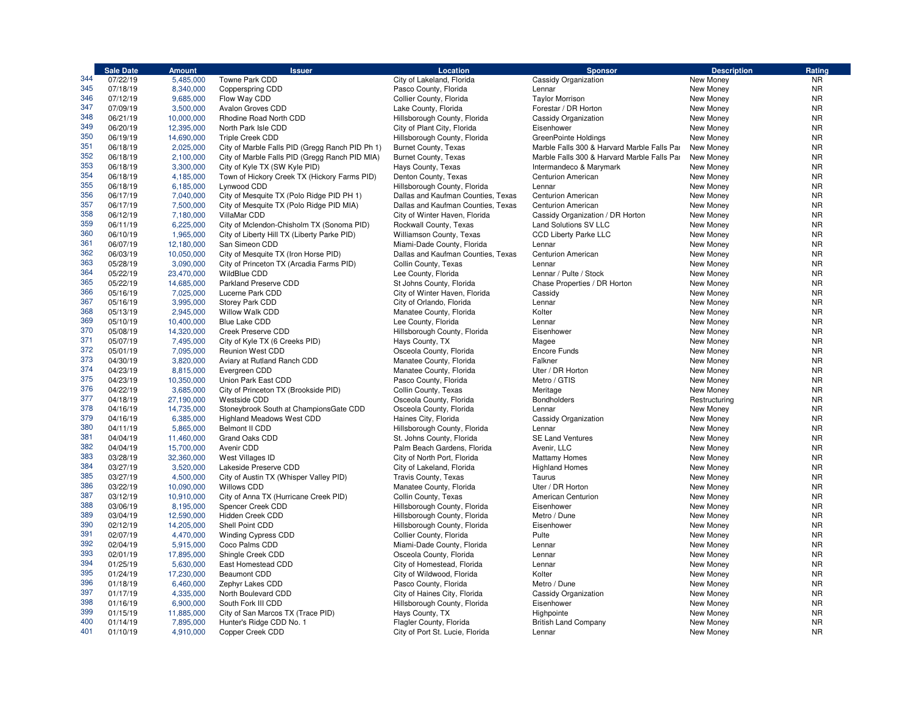|     | <b>Sale Date</b> | <b>Amount</b> | <b>Issuer</b>                                   | Location                           | Sponsor                                     | <b>Description</b> | Rating    |
|-----|------------------|---------------|-------------------------------------------------|------------------------------------|---------------------------------------------|--------------------|-----------|
| 344 | 07/22/19         | 5,485,000     | Towne Park CDD                                  | City of Lakeland, Florida          | Cassidy Organization                        | New Money          | <b>NR</b> |
| 345 | 07/18/19         | 8,340,000     | Copperspring CDD                                | Pasco County, Florida              | Lennar                                      | New Money          | <b>NR</b> |
| 346 | 07/12/19         | 9,685,000     | Flow Way CDD                                    | Collier County, Florida            | <b>Taylor Morrison</b>                      | New Money          | <b>NR</b> |
| 347 | 07/09/19         | 3,500,000     | Avalon Groves CDD                               | Lake County, Florida               | Forestar / DR Horton                        | New Money          | <b>NR</b> |
| 348 | 06/21/19         | 10,000,000    | Rhodine Road North CDD                          | Hillsborough County, Florida       | Cassidy Organization                        | New Money          | <b>NR</b> |
| 349 | 06/20/19         | 12,395,000    | North Park Isle CDD                             | City of Plant City, Florida        | Eisenhower                                  | New Money          | <b>NR</b> |
| 350 | 06/19/19         | 14,690,000    | <b>Triple Creek CDD</b>                         | Hillsborough County, Florida       | GreenPointe Holdings                        | New Money          | <b>NR</b> |
| 351 | 06/18/19         | 2,025,000     | City of Marble Falls PID (Gregg Ranch PID Ph 1) | <b>Burnet County, Texas</b>        | Marble Falls 300 & Harvard Marble Falls Par | New Money          | <b>NR</b> |
| 352 | 06/18/19         | 2,100,000     | City of Marble Falls PID (Gregg Ranch PID MIA)  | <b>Burnet County, Texas</b>        | Marble Falls 300 & Harvard Marble Falls Par | New Money          | <b>NR</b> |
| 353 | 06/18/19         | 3,300,000     | City of Kyle TX (SW Kyle PID)                   | Hays County, Texas                 | Intermandeco & Marymark                     | New Money          | <b>NR</b> |
| 354 | 06/18/19         | 4,185,000     | Town of Hickory Creek TX (Hickory Farms PID)    | Denton County, Texas               | <b>Centurion American</b>                   | New Money          | <b>NR</b> |
| 355 | 06/18/19         | 6,185,000     | Lynwood CDD                                     | Hillsborough County, Florida       | Lennar                                      | New Money          | <b>NR</b> |
| 356 | 06/17/19         | 7,040,000     | City of Mesquite TX (Polo Ridge PID PH 1)       | Dallas and Kaufman Counties, Texas | <b>Centurion American</b>                   | New Money          | <b>NR</b> |
| 357 | 06/17/19         | 7,500,000     | City of Mesquite TX (Polo Ridge PID MIA)        | Dallas and Kaufman Counties, Texas | <b>Centurion American</b>                   | New Money          | <b>NR</b> |
| 358 | 06/12/19         | 7,180,000     | VillaMar CDD                                    | City of Winter Haven, Florida      | Cassidy Organization / DR Horton            | New Money          | <b>NR</b> |
| 359 | 06/11/19         | 6,225,000     | City of Mclendon-Chisholm TX (Sonoma PID)       | Rockwall County, Texas             | Land Solutions SV LLC                       | New Money          | <b>NR</b> |
| 360 | 06/10/19         | 1,965,000     | City of Liberty Hill TX (Liberty Parke PID)     | Williamson County, Texas           | <b>CCD Liberty Parke LLC</b>                | New Money          | <b>NR</b> |
| 361 | 06/07/19         | 12,180,000    | San Simeon CDD                                  | Miami-Dade County, Florida         | Lennar                                      | New Money          | <b>NR</b> |
| 362 | 06/03/19         | 10,050,000    | City of Mesquite TX (Iron Horse PID)            | Dallas and Kaufman Counties, Texas | <b>Centurion American</b>                   |                    | <b>NR</b> |
| 363 |                  |               |                                                 |                                    |                                             | New Money          | <b>NR</b> |
| 364 | 05/28/19         | 3,090,000     | City of Princeton TX (Arcadia Farms PID)        | Collin County, Texas               | Lennar                                      | New Money          | <b>NR</b> |
| 365 | 05/22/19         | 23,470,000    | WildBlue CDD                                    | Lee County, Florida                | Lennar / Pulte / Stock                      | New Money          |           |
| 366 | 05/22/19         | 14,685,000    | Parkland Preserve CDD                           | St Johns County, Florida           | Chase Properties / DR Horton                | New Money          | <b>NR</b> |
|     | 05/16/19         | 7,025,000     | Lucerne Park CDD                                | City of Winter Haven, Florida      | Cassidy                                     | New Money          | <b>NR</b> |
| 367 | 05/16/19         | 3,995,000     | Storey Park CDD                                 | City of Orlando, Florida           | Lennar                                      | New Money          | <b>NR</b> |
| 368 | 05/13/19         | 2,945,000     | Willow Walk CDD                                 | Manatee County, Florida            | Kolter                                      | New Money          | <b>NR</b> |
| 369 | 05/10/19         | 10,400,000    | <b>Blue Lake CDD</b>                            | Lee County, Florida                | Lennar                                      | New Money          | <b>NR</b> |
| 370 | 05/08/19         | 14,320,000    | Creek Preserve CDD                              | Hillsborough County, Florida       | Eisenhower                                  | New Money          | <b>NR</b> |
| 371 | 05/07/19         | 7,495,000     | City of Kyle TX (6 Creeks PID)                  | Hays County, TX                    | Magee                                       | New Money          | <b>NR</b> |
| 372 | 05/01/19         | 7,095,000     | <b>Reunion West CDD</b>                         | Osceola County, Florida            | <b>Encore Funds</b>                         | New Money          | <b>NR</b> |
| 373 | 04/30/19         | 3,820,000     | Aviary at Rutland Ranch CDD                     | Manatee County, Florida            | Falkner                                     | New Money          | <b>NR</b> |
| 374 | 04/23/19         | 8,815,000     | Evergreen CDD                                   | Manatee County, Florida            | Uter / DR Horton                            | New Money          | <b>NR</b> |
| 375 | 04/23/19         | 10,350,000    | Union Park East CDD                             | Pasco County, Florida              | Metro / GTIS                                | New Money          | <b>NR</b> |
| 376 | 04/22/19         | 3,685,000     | City of Princeton TX (Brookside PID)            | Collin County, Texas               | Meritage                                    | New Money          | <b>NR</b> |
| 377 | 04/18/19         | 27,190,000    | <b>Westside CDD</b>                             | Osceola County, Florida            | <b>Bondholders</b>                          | Restructuring      | <b>NR</b> |
| 378 | 04/16/19         | 14,735,000    | Stoneybrook South at ChampionsGate CDD          | Osceola County, Florida            | Lennar                                      | New Money          | <b>NR</b> |
| 379 | 04/16/19         | 6,385,000     | <b>Highland Meadows West CDD</b>                | Haines City, Florida               | Cassidy Organization                        | New Money          | <b>NR</b> |
| 380 | 04/11/19         | 5,865,000     | <b>Belmont II CDD</b>                           | Hillsborough County, Florida       | Lennar                                      | New Money          | <b>NR</b> |
| 381 | 04/04/19         | 11,460,000    | Grand Oaks CDD                                  | St. Johns County, Florida          | <b>SE Land Ventures</b>                     | New Money          | <b>NR</b> |
| 382 | 04/04/19         | 15,700,000    | Avenir CDD                                      | Palm Beach Gardens, Florida        | Avenir, LLC                                 | New Money          | <b>NR</b> |
| 383 | 03/28/19         | 32,360,000    | West Villages ID                                | City of North Port, Florida        | <b>Mattamy Homes</b>                        | New Money          | <b>NR</b> |
| 384 | 03/27/19         | 3,520,000     | Lakeside Preserve CDD                           | City of Lakeland, Florida          | <b>Highland Homes</b>                       | New Money          | <b>NR</b> |
| 385 | 03/27/19         | 4,500,000     | City of Austin TX (Whisper Valley PID)          | Travis County, Texas               | Taurus                                      | New Money          | <b>NR</b> |
| 386 | 03/22/19         | 10,090,000    | <b>Willows CDD</b>                              | Manatee County, Florida            | Uter / DR Horton                            | New Money          | <b>NR</b> |
| 387 | 03/12/19         | 10,910,000    | City of Anna TX (Hurricane Creek PID)           | Collin County, Texas               | American Centurion                          | New Money          | <b>NR</b> |
| 388 | 03/06/19         | 8,195,000     | Spencer Creek CDD                               | Hillsborough County, Florida       | Eisenhower                                  | New Money          | <b>NR</b> |
| 389 | 03/04/19         | 12,590,000    | Hidden Creek CDD                                | Hillsborough County, Florida       | Metro / Dune                                | New Money          | <b>NR</b> |
| 390 | 02/12/19         | 14,205,000    | Shell Point CDD                                 | Hillsborough County, Florida       | Eisenhower                                  | New Money          | <b>NR</b> |
| 391 | 02/07/19         | 4,470,000     | <b>Winding Cypress CDD</b>                      | Collier County, Florida            | Pulte                                       | New Money          | <b>NR</b> |
| 392 | 02/04/19         | 5,915,000     | Coco Palms CDD                                  | Miami-Dade County, Florida         | Lennar                                      | New Money          | <b>NR</b> |
| 393 | 02/01/19         | 17,895,000    | Shingle Creek CDD                               | Osceola County, Florida            | Lennar                                      | New Money          | <b>NR</b> |
| 394 | 01/25/19         | 5,630,000     | East Homestead CDD                              | City of Homestead, Florida         | Lennar                                      | New Money          | <b>NR</b> |
| 395 | 01/24/19         | 17,230,000    | <b>Beaumont CDD</b>                             | City of Wildwood, Florida          | Kolter                                      | New Money          | <b>NR</b> |
| 396 | 01/18/19         | 6,460,000     | Zephyr Lakes CDD                                | Pasco County, Florida              | Metro / Dune                                | New Money          | <b>NR</b> |
| 397 | 01/17/19         | 4,335,000     | North Boulevard CDD                             | City of Haines City, Florida       | Cassidy Organization                        | New Money          | <b>NR</b> |
| 398 | 01/16/19         | 6,900,000     | South Fork III CDD                              | Hillsborough County, Florida       | Eisenhower                                  | New Money          | <b>NR</b> |
| 399 | 01/15/19         | 11,885,000    | City of San Marcos TX (Trace PID)               | Hays County, TX                    | Highpointe                                  | New Money          | <b>NR</b> |
| 400 | 01/14/19         | 7,895,000     | Hunter's Ridge CDD No. 1                        | Flagler County, Florida            | <b>British Land Company</b>                 | New Money          | <b>NR</b> |
| 401 | 01/10/19         | 4,910,000     | Copper Creek CDD                                | City of Port St. Lucie, Florida    | Lennar                                      | New Money          | <b>NR</b> |
|     |                  |               |                                                 |                                    |                                             |                    |           |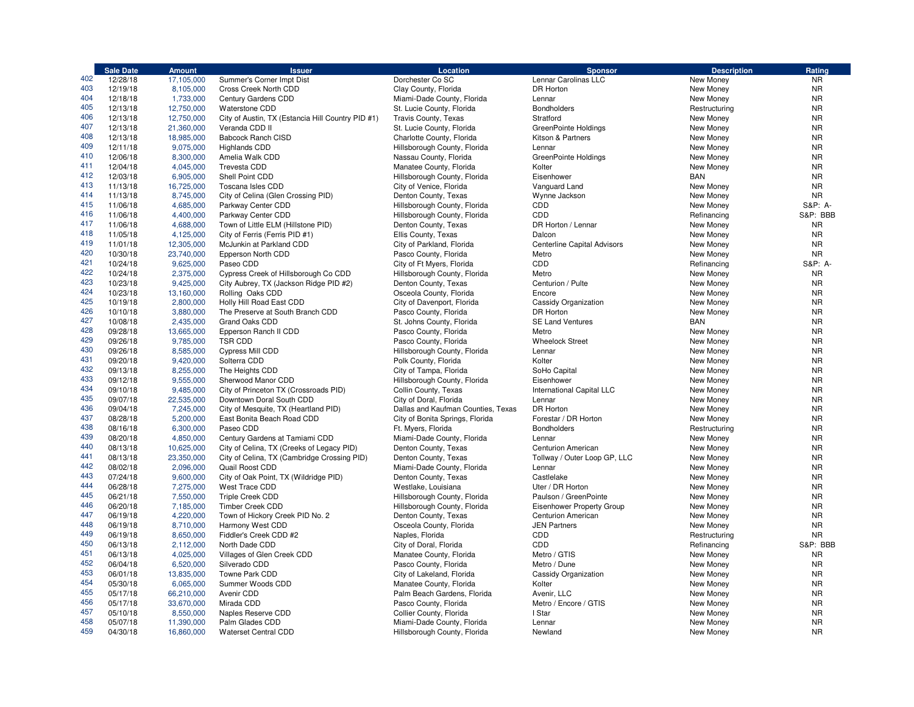|            | <b>Sale Date</b> | <b>Amount</b> | <b>Issuer</b>                                     | Location                           | <b>Sponsor</b>               | <b>Description</b> | Rating    |
|------------|------------------|---------------|---------------------------------------------------|------------------------------------|------------------------------|--------------------|-----------|
| 402        | 12/28/18         | 17,105,000    | Summer's Corner Impt Dist                         | Dorchester Co SC                   | Lennar Carolinas LLC         | New Money          | <b>NR</b> |
| 403        | 12/19/18         | 8,105,000     | Cross Creek North CDD                             | Clay County, Florida               | DR Horton                    | New Money          | <b>NR</b> |
| 404        | 12/18/18         | 1,733,000     | Century Gardens CDD                               | Miami-Dade County, Florida         | Lennar                       | New Money          | <b>NR</b> |
| 405        | 12/13/18         | 12,750,000    | Waterstone CDD                                    | St. Lucie County, Florida          | <b>Bondholders</b>           | Restructuring      | <b>NR</b> |
| 406        | 12/13/18         | 12,750,000    | City of Austin, TX (Estancia Hill Country PID #1) | Travis County, Texas               | Stratford                    | New Money          | <b>NR</b> |
| 407        | 12/13/18         | 21,360,000    | Veranda CDD II                                    | St. Lucie County, Florida          | GreenPointe Holdings         | New Money          | <b>NR</b> |
| 408        | 12/13/18         | 18,985,000    | <b>Babcock Ranch CISD</b>                         | Charlotte County, Florida          | Kitson & Partners            | New Money          | <b>NR</b> |
| 409        | 12/11/18         | 9,075,000     | <b>Highlands CDD</b>                              | Hillsborough County, Florida       | Lennar                       | New Money          | <b>NR</b> |
| 410        | 12/06/18         | 8,300,000     | Amelia Walk CDD                                   | Nassau County, Florida             | GreenPointe Holdings         | New Money          | <b>NR</b> |
| 411        | 12/04/18         | 4,045,000     | <b>Trevesta CDD</b>                               | Manatee County, Florida            | Kolter                       | New Money          | <b>NR</b> |
| 412        | 12/03/18         | 6,905,000     | Shell Point CDD                                   | Hillsborough County, Florida       | Eisenhower                   | <b>BAN</b>         | <b>NR</b> |
| 413        | 11/13/18         | 16,725,000    | Toscana Isles CDD                                 | City of Venice, Florida            | Vanguard Land                | New Money          | <b>NR</b> |
| 414        | 11/13/18         | 8,745,000     | City of Celina (Glen Crossing PID)                | Denton County, Texas               | Wynne Jackson                | New Money          | <b>NR</b> |
| 415        | 11/06/18         | 4,685,000     | Parkway Center CDD                                | Hillsborough County, Florida       | CDD                          | New Money          | S&P: A-   |
| 416        | 11/06/18         | 4,400,000     | Parkway Center CDD                                | Hillsborough County, Florida       | CDD                          | Refinancing        | S&P: BBB  |
| 417        | 11/06/18         | 4,688,000     | Town of Little ELM (Hillstone PID)                | Denton County, Texas               | DR Horton / Lennar           | New Money          | <b>NR</b> |
| 418        | 11/05/18         | 4,125,000     | City of Ferris (Ferris PID #1)                    | Ellis County, Texas                | Dalcon                       | New Money          | <b>NR</b> |
| 419        | 11/01/18         | 12,305,000    | McJunkin at Parkland CDD                          | City of Parkland, Florida          | Centerline Capital Advisors  | New Money          | <b>NR</b> |
| 420        | 10/30/18         | 23,740,000    | Epperson North CDD                                |                                    | Metro                        |                    | <b>NR</b> |
| 421        |                  |               |                                                   | Pasco County, Florida              |                              | New Money          |           |
| 422        | 10/24/18         | 9,625,000     | Paseo CDD                                         | City of Ft Myers, Florida          | CDD                          | Refinancing        | S&P: A-   |
| 423        | 10/24/18         | 2,375,000     | Cypress Creek of Hillsborough Co CDD              | Hillsborough County, Florida       | Metro                        | New Money          | <b>NR</b> |
| 424        | 10/23/18         | 9,425,000     | City Aubrey, TX (Jackson Ridge PID #2)            | Denton County, Texas               | Centurion / Pulte            | New Money          | <b>NR</b> |
|            | 10/23/18         | 13,160,000    | Rolling Oaks CDD                                  | Osceola County, Florida            | Encore                       | New Money          | <b>NR</b> |
| 425<br>426 | 10/19/18         | 2,800,000     | Holly Hill Road East CDD                          | City of Davenport, Florida         | Cassidy Organization         | New Money          | <b>NR</b> |
|            | 10/10/18         | 3,880,000     | The Preserve at South Branch CDD                  | Pasco County, Florida              | <b>DR Horton</b>             | New Money          | <b>NR</b> |
| 427        | 10/08/18         | 2,435,000     | <b>Grand Oaks CDD</b>                             | St. Johns County, Florida          | <b>SE Land Ventures</b>      | <b>BAN</b>         | <b>NR</b> |
| 428        | 09/28/18         | 13,665,000    | Epperson Ranch II CDD                             | Pasco County, Florida              | Metro                        | New Money          | <b>NR</b> |
| 429        | 09/26/18         | 9,785,000     | <b>TSR CDD</b>                                    | Pasco County, Florida              | <b>Wheelock Street</b>       | New Money          | <b>NR</b> |
| 430        | 09/26/18         | 8,585,000     | Cypress Mill CDD                                  | Hillsborough County, Florida       | Lennar                       | New Money          | <b>NR</b> |
| 431        | 09/20/18         | 9,420,000     | Solterra CDD                                      | Polk County, Florida               | Kolter                       | New Money          | <b>NR</b> |
| 432        | 09/13/18         | 8,255,000     | The Heights CDD                                   | City of Tampa, Florida             | SoHo Capital                 | New Money          | <b>NR</b> |
| 433        | 09/12/18         | 9,555,000     | Sherwood Manor CDD                                | Hillsborough County, Florida       | Eisenhower                   | New Money          | <b>NR</b> |
| 434        | 09/10/18         | 9,485,000     | City of Princeton TX (Crossroads PID)             | Collin County, Texas               | International Capital LLC    | New Money          | <b>NR</b> |
| 435        | 09/07/18         | 22,535,000    | Downtown Doral South CDD                          | City of Doral, Florida             | Lennar                       | New Money          | <b>NR</b> |
| 436        | 09/04/18         | 7,245,000     | City of Mesquite, TX (Heartland PID)              | Dallas and Kaufman Counties, Texas | DR Horton                    | New Money          | <b>NR</b> |
| 437        | 08/28/18         | 5,200,000     | East Bonita Beach Road CDD                        | City of Bonita Springs, Florida    | Forestar / DR Horton         | New Money          | <b>NR</b> |
| 438        | 08/16/18         | 6,300,000     | Paseo CDD                                         | Ft. Myers, Florida                 | <b>Bondholders</b>           | Restructuring      | <b>NR</b> |
| 439        | 08/20/18         | 4,850,000     | Century Gardens at Tamiami CDD                    | Miami-Dade County, Florida         | Lennar                       | New Money          | <b>NR</b> |
| 440        | 08/13/18         | 10,625,000    | City of Celina, TX (Creeks of Legacy PID)         | Denton County, Texas               | <b>Centurion American</b>    | New Money          | <b>NR</b> |
| 441        | 08/13/18         | 23,350,000    | City of Celina, TX (Cambridge Crossing PID)       | Denton County, Texas               | Tollway / Outer Loop GP, LLC | New Money          | <b>NR</b> |
| 442        | 08/02/18         | 2,096,000     | Quail Roost CDD                                   | Miami-Dade County, Florida         | Lennar                       | New Money          | <b>NR</b> |
| 443        | 07/24/18         | 9,600,000     | City of Oak Point, TX (Wildridge PID)             | Denton County, Texas               | Castlelake                   | New Money          | <b>NR</b> |
| 444        | 06/28/18         | 7,275,000     | West Trace CDD                                    | Westlake, Louisiana                | Uter / DR Horton             | New Money          | <b>NR</b> |
| 445        | 06/21/18         | 7,550,000     | <b>Triple Creek CDD</b>                           | Hillsborough County, Florida       | Paulson / GreenPointe        | New Money          | <b>NR</b> |
| 446        | 06/20/18         | 7,185,000     | <b>Timber Creek CDD</b>                           | Hillsborough County, Florida       | Eisenhower Property Group    | New Money          | <b>NR</b> |
| 447        | 06/19/18         | 4,220,000     | Town of Hickory Creek PID No. 2                   | Denton County, Texas               | Centurion American           | New Money          | <b>NR</b> |
| 448        | 06/19/18         | 8,710,000     | Harmony West CDD                                  | Osceola County, Florida            | <b>JEN Partners</b>          | New Money          | <b>NR</b> |
| 449        | 06/19/18         | 8,650,000     | Fiddler's Creek CDD #2                            | Naples, Florida                    | CDD                          | Restructuring      | <b>NR</b> |
| 450        | 06/13/18         | 2,112,000     | North Dade CDD                                    | City of Doral, Florida             | CDD                          | Refinancing        | S&P: BBB  |
| 451        | 06/13/18         | 4.025.000     | Villages of Glen Creek CDD                        | Manatee County, Florida            | Metro / GTIS                 | New Money          | <b>NR</b> |
| 452        | 06/04/18         | 6,520,000     | Silverado CDD                                     | Pasco County, Florida              | Metro / Dune                 | New Money          | <b>NR</b> |
| 453        | 06/01/18         | 13,835,000    | Towne Park CDD                                    | City of Lakeland, Florida          | Cassidy Organization         | New Money          | <b>NR</b> |
| 454        | 05/30/18         | 6,065,000     | Summer Woods CDD                                  | Manatee County, Florida            | Kolter                       | New Money          | <b>NR</b> |
| 455        | 05/17/18         | 66,210,000    | Avenir CDD                                        | Palm Beach Gardens, Florida        | Avenir, LLC                  | New Money          | <b>NR</b> |
| 456        | 05/17/18         | 33,670,000    | Mirada CDD                                        | Pasco County, Florida              | Metro / Encore / GTIS        | New Money          | <b>NR</b> |
| 457        | 05/10/18         | 8,550,000     | Naples Reserve CDD                                | Collier County, Florida            | I Star                       | New Money          | <b>NR</b> |
| 458        | 05/07/18         | 11,390,000    | Palm Glades CDD                                   | Miami-Dade County, Florida         | Lennar                       | New Money          | <b>NR</b> |
| 459        | 04/30/18         | 16,860,000    | <b>Waterset Central CDD</b>                       | Hillsborough County, Florida       | Newland                      | New Money          | <b>NR</b> |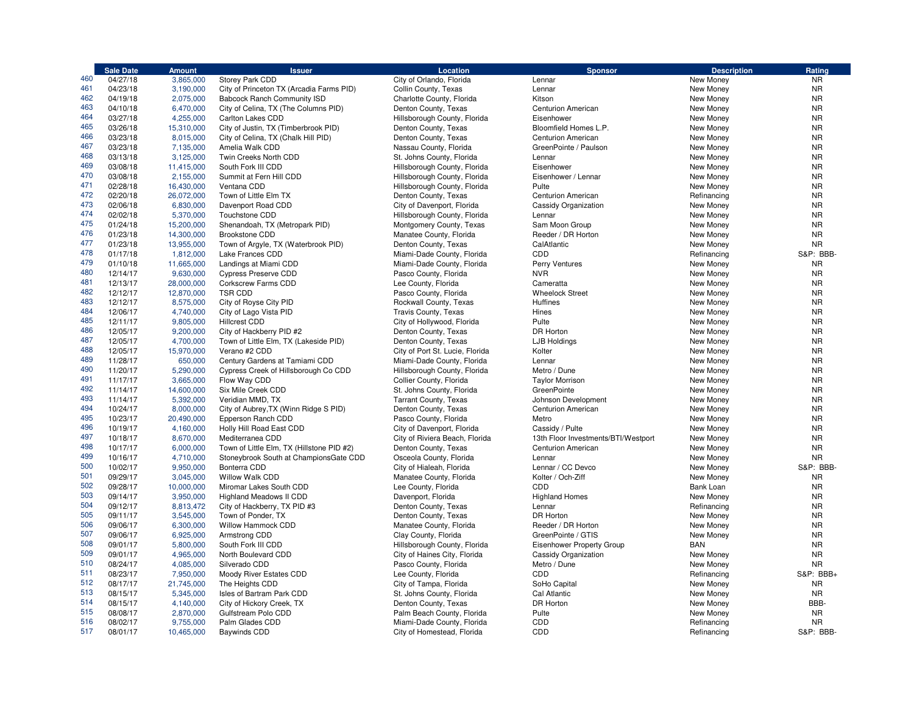|            | <b>Sale Date</b> | <b>Amount</b> | <b>Issuer</b>                             | Location                        | <b>Sponsor</b>                      | <b>Description</b> | Rating    |
|------------|------------------|---------------|-------------------------------------------|---------------------------------|-------------------------------------|--------------------|-----------|
| 460        | 04/27/18         | 3,865,000     | Storey Park CDD                           | City of Orlando, Florida        | Lennar                              | New Money          | <b>NR</b> |
| 461        | 04/23/18         | 3,190,000     | City of Princeton TX (Arcadia Farms PID)  | Collin County, Texas            | Lennar                              | New Money          | <b>NR</b> |
| 462        | 04/19/18         | 2,075,000     | <b>Babcock Ranch Community ISD</b>        | Charlotte County, Florida       | Kitson                              | New Money          | <b>NR</b> |
| 463        | 04/10/18         | 6,470,000     | City of Celina, TX (The Columns PID)      | Denton County, Texas            | <b>Centurion American</b>           | New Money          | <b>NR</b> |
| 464        | 03/27/18         | 4,255,000     | Carlton Lakes CDD                         | Hillsborough County, Florida    | Eisenhower                          | New Money          | <b>NR</b> |
| 465        | 03/26/18         | 15,310,000    | City of Justin, TX (Timberbrook PID)      | Denton County, Texas            | Bloomfield Homes L.P.               | New Money          | <b>NR</b> |
| 466        | 03/23/18         | 8,015,000     | City of Celina, TX (Chalk Hill PID)       | Denton County, Texas            | <b>Centurion American</b>           | New Money          | <b>NR</b> |
| 467        | 03/23/18         | 7,135,000     | Amelia Walk CDD                           | Nassau County, Florida          | GreenPointe / Paulson               | New Money          | <b>NR</b> |
| 468        | 03/13/18         | 3,125,000     | Twin Creeks North CDD                     | St. Johns County, Florida       | Lennar                              | New Money          | <b>NR</b> |
| 469        | 03/08/18         | 11,415,000    | South Fork III CDD                        | Hillsborough County, Florida    | Eisenhower                          | New Money          | <b>NR</b> |
| 470        | 03/08/18         | 2,155,000     | Summit at Fern Hill CDD                   | Hillsborough County, Florida    | Eisenhower / Lennar                 | New Money          | <b>NR</b> |
| 471        | 02/28/18         | 16,430,000    | Ventana CDD                               | Hillsborough County, Florida    | Pulte                               | New Money          | <b>NR</b> |
| 472        | 02/20/18         | 26,072,000    | Town of Little Elm TX                     | Denton County, Texas            | <b>Centurion American</b>           | Refinancing        | <b>NR</b> |
| 473        | 02/06/18         | 6,830,000     | Davenport Road CDD                        | City of Davenport, Florida      | Cassidy Organization                | New Money          | <b>NR</b> |
| 474        | 02/02/18         | 5,370,000     | Touchstone CDD                            | Hillsborough County, Florida    | Lennar                              | New Money          | <b>NR</b> |
| 475        | 01/24/18         | 15,200,000    | Shenandoah, TX (Metropark PID)            | Montgomery County, Texas        | Sam Moon Group                      | New Money          | <b>NR</b> |
| 476        | 01/23/18         | 14,300,000    | <b>Brookstone CDD</b>                     | Manatee County, Florida         | Reeder / DR Horton                  | New Money          | <b>NR</b> |
| 477        | 01/23/18         | 13,955,000    | Town of Argyle, TX (Waterbrook PID)       | Denton County, Texas            | CalAtlantic                         | New Money          | <b>NR</b> |
| 478        | 01/17/18         | 1,812,000     | Lake Frances CDD                          | Miami-Dade County, Florida      | CDD                                 | Refinancing        | S&P: BBB- |
| 479        | 01/10/18         | 11,665,000    | Landings at Miami CDD                     | Miami-Dade County, Florida      | Perry Ventures                      | New Money          | <b>NR</b> |
| 480        | 12/14/17         | 9,630,000     | <b>Cypress Preserve CDD</b>               | Pasco County, Florida           | <b>NVR</b>                          | New Money          | <b>NR</b> |
| 481        | 12/13/17         | 28,000,000    | Corkscrew Farms CDD                       | Lee County, Florida             | Cameratta                           | New Money          | <b>NR</b> |
| 482        | 12/12/17         | 12,870,000    | <b>TSR CDD</b>                            | Pasco County, Florida           | <b>Wheelock Street</b>              | New Money          | <b>NR</b> |
| 483        | 12/12/17         | 8,575,000     | City of Royse City PID                    | Rockwall County, Texas          | Huffines                            | New Money          | <b>NR</b> |
| 484        | 12/06/17         | 4,740,000     | City of Lago Vista PID                    | Travis County, Texas            | <b>Hines</b>                        | New Money          | <b>NR</b> |
| 485        | 12/11/17         | 9,805,000     | <b>Hillcrest CDD</b>                      | City of Hollywood, Florida      | Pulte                               | New Money          | <b>NR</b> |
| 486        | 12/05/17         | 9,200,000     | City of Hackberry PID #2                  | Denton County, Texas            | DR Horton                           | New Money          | <b>NR</b> |
| 487        | 12/05/17         | 4,700,000     | Town of Little Elm, TX (Lakeside PID)     | Denton County, Texas            | <b>LJB Holdings</b>                 | New Money          | <b>NR</b> |
| 488        | 12/05/17         | 15,970,000    | Verano #2 CDD                             | City of Port St. Lucie, Florida | Kolter                              | New Money          | <b>NR</b> |
| 489        | 11/28/17         | 650,000       | Century Gardens at Tamiami CDD            | Miami-Dade County, Florida      | Lennar                              | New Money          | <b>NR</b> |
| 490        | 11/20/17         | 5,290,000     | Cypress Creek of Hillsborough Co CDD      | Hillsborough County, Florida    | Metro / Dune                        | New Money          | <b>NR</b> |
| 491        | 11/17/17         | 3,665,000     | Flow Way CDD                              | Collier County, Florida         | <b>Taylor Morrison</b>              | New Money          | <b>NR</b> |
| 492        | 11/14/17         | 14,600,000    | Six Mile Creek CDD                        | St. Johns County, Florida       | GreenPointe                         | New Money          | <b>NR</b> |
| 493        | 11/14/17         | 5,392,000     | Veridian MMD, TX                          | <b>Tarrant County, Texas</b>    | Johnson Development                 | New Money          | <b>NR</b> |
| 494        | 10/24/17         | 8,000,000     | City of Aubrey, TX (Winn Ridge S PID)     | Denton County, Texas            | <b>Centurion American</b>           | New Money          | <b>NR</b> |
| 495        | 10/23/17         | 20,490,000    | Epperson Ranch CDD                        | Pasco County, Florida           | Metro                               | New Money          | <b>NR</b> |
| 496        | 10/19/17         | 4,160,000     | Holly Hill Road East CDD                  | City of Davenport, Florida      | Cassidy / Pulte                     | New Money          | <b>NR</b> |
| 497        | 10/18/17         | 8,670,000     | Mediterranea CDD                          | City of Riviera Beach, Florida  | 13th Floor Investments/BTI/Westport | New Money          | <b>NR</b> |
| 498        | 10/17/17         | 6,000,000     | Town of Little Elm, TX (Hillstone PID #2) | Denton County, Texas            | <b>Centurion American</b>           | New Money          | <b>NR</b> |
| 499        | 10/16/17         | 4,710,000     | Stoneybrook South at ChampionsGate CDD    | Osceola County, Florida         | Lennar                              | New Money          | <b>NR</b> |
| 500        | 10/02/17         | 9,950,000     | Bonterra CDD                              | City of Hialeah, Florida        | Lennar / CC Devco                   | New Money          | S&P: BBB- |
| 501        | 09/29/17         | 3,045,000     | Willow Walk CDD                           | Manatee County, Florida         | Kolter / Och-Ziff                   | New Money          | <b>NR</b> |
| 502        | 09/28/17         | 10,000,000    | Miromar Lakes South CDD                   | Lee County, Florida             | CDD                                 | Bank Loan          | <b>NR</b> |
| 503        | 09/14/17         | 3,950,000     | <b>Highland Meadows II CDD</b>            | Davenport, Florida              | <b>Highland Homes</b>               | New Money          | <b>NR</b> |
| 504        | 09/12/17         | 8,813,472     | City of Hackberry, TX PID #3              | Denton County, Texas            | Lennar                              | Refinancing        | <b>NR</b> |
| 505        | 09/11/17         | 3,545,000     | Town of Ponder, TX                        | Denton County, Texas            | <b>DR Horton</b>                    | New Money          | <b>NR</b> |
| 506        | 09/06/17         | 6,300,000     | Willow Hammock CDD                        | Manatee County, Florida         | Reeder / DR Horton                  | New Money          | <b>NR</b> |
| 507        | 09/06/17         | 6,925,000     | Armstrong CDD                             | Clay County, Florida            | GreenPointe / GTIS                  | New Money          | <b>NR</b> |
| 508        | 09/01/17         | 5,800,000     | South Fork III CDD                        | Hillsborough County, Florida    | Eisenhower Property Group           | <b>BAN</b>         | <b>NR</b> |
| 509        | 09/01/17         | 4,965,000     | North Boulevard CDD                       | City of Haines City, Florida    | Cassidy Organization                | New Money          | <b>NR</b> |
| 510        | 08/24/17         | 4,085,000     | Silverado CDD                             | Pasco County, Florida           | Metro / Dune                        | New Money          | <b>NR</b> |
| 511        | 08/23/17         | 7,950,000     | Moody River Estates CDD                   | Lee County, Florida             | CDD                                 | Refinancing        | S&P: BBB+ |
| 512        | 08/17/17         | 21,745,000    | The Heights CDD                           | City of Tampa, Florida          | SoHo Capital                        | New Money          | <b>NR</b> |
| 513        | 08/15/17         | 5,345,000     | Isles of Bartram Park CDD                 | St. Johns County, Florida       | Cal Atlantic                        | New Money          | <b>NR</b> |
| 514        | 08/15/17         | 4,140,000     | City of Hickory Creek, TX                 | Denton County, Texas            | DR Horton                           | New Money          | BBB-      |
| 515        | 08/08/17         | 2,870,000     | Gulfstream Polo CDD                       | Palm Beach County, Florida      | Pulte                               | New Money          | <b>NR</b> |
| 516<br>517 | 08/02/17         | 9,755,000     | Palm Glades CDD                           | Miami-Dade County, Florida      | CDD                                 | Refinancing        | <b>NR</b> |
|            | 08/01/17         | 10,465,000    | <b>Baywinds CDD</b>                       | City of Homestead, Florida      | CDD                                 | Refinancing        | S&P: BBB- |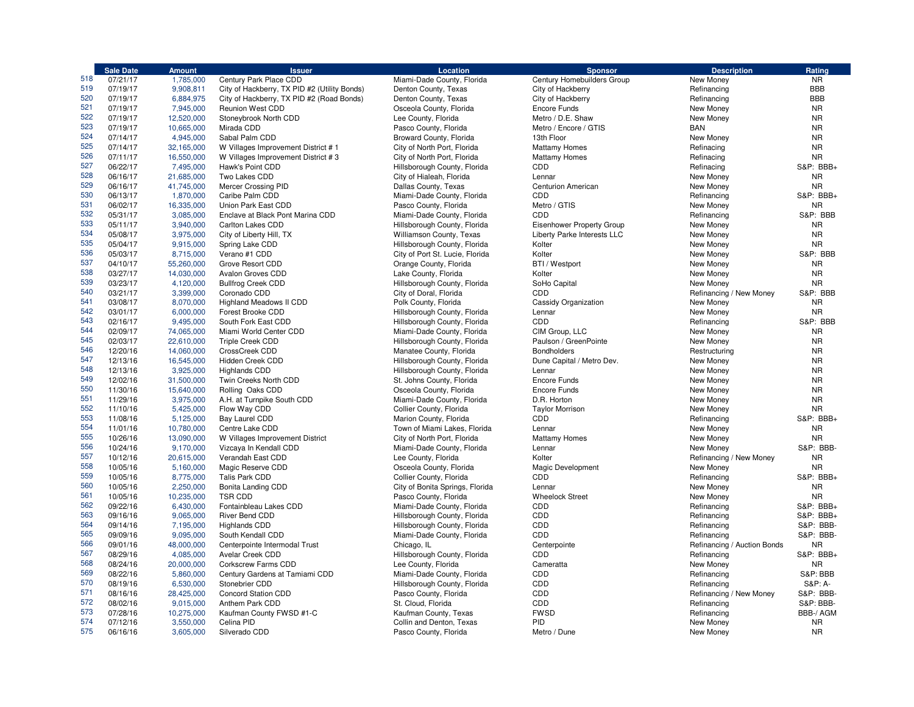|     | <b>Sale Date</b> | <b>Amount</b> | <b>Issuer</b>                                | Location                        | <b>Sponsor</b>              | <b>Description</b>          | Rating               |
|-----|------------------|---------------|----------------------------------------------|---------------------------------|-----------------------------|-----------------------------|----------------------|
| 518 | 07/21/17         | 1,785,000     | Century Park Place CDD                       | Miami-Dade County, Florida      | Century Homebuilders Group  | New Money                   | <b>NR</b>            |
| 519 | 07/19/17         | 9,908,811     | City of Hackberry, TX PID #2 (Utility Bonds) | Denton County, Texas            | City of Hackberry           | Refinancing                 | <b>BBB</b>           |
| 520 | 07/19/17         | 6.884.975     | City of Hackberry, TX PID #2 (Road Bonds)    | Denton County, Texas            | City of Hackberry           | Refinancing                 | <b>BBB</b>           |
| 521 | 07/19/17         | 7,945,000     | <b>Reunion West CDD</b>                      | Osceola County, Florida         | <b>Encore Funds</b>         | New Money                   | <b>NR</b>            |
| 522 | 07/19/17         | 12,520,000    | Stoneybrook North CDD                        | Lee County, Florida             | Metro / D.E. Shaw           | New Money                   | <b>NR</b>            |
| 523 | 07/19/17         | 10,665,000    | Mirada CDD                                   | Pasco County, Florida           | Metro / Encore / GTIS       | <b>BAN</b>                  | <b>NR</b>            |
| 524 | 07/14/17         | 4,945,000     | Sabal Palm CDD                               | Broward County, Florida         | 13th Floor                  | New Money                   | N <sub>R</sub>       |
| 525 | 07/14/17         | 32,165,000    | W Villages Improvement District #1           | City of North Port, Florida     | <b>Mattamy Homes</b>        | Refinacing                  | <b>NR</b>            |
| 526 | 07/11/17         | 16,550,000    | W Villages Improvement District #3           | City of North Port, Florida     | <b>Mattamy Homes</b>        | Refinacing                  | N <sub>R</sub>       |
| 527 | 06/22/17         | 7,495,000     | Hawk's Point CDD                             | Hillsborough County, Florida    | CDD                         | Refinacing                  | S&P: BBB+            |
| 528 | 06/16/17         | 21,685,000    | Two Lakes CDD                                | City of Hialeah, Florida        | Lennar                      | New Money                   | N <sub>R</sub>       |
| 529 | 06/16/17         | 41,745,000    | <b>Mercer Crossing PID</b>                   | Dallas County, Texas            | <b>Centurion American</b>   | New Money                   | N <sub>R</sub>       |
| 530 | 06/13/17         | 1,870,000     | Caribe Palm CDD                              | Miami-Dade County, Florida      | CDD                         | Refinancing                 | S&P: BBB+            |
| 531 | 06/02/17         | 16,335,000    | Union Park East CDD                          | Pasco County, Florida           | Metro / GTIS                | New Money                   | NR.                  |
| 532 | 05/31/17         | 3,085,000     | Enclave at Black Pont Marina CDD             | Miami-Dade County, Florida      | CDD                         | Refinancing                 | S&P: BBB             |
| 533 | 05/11/17         | 3,940,000     | Carlton Lakes CDD                            | Hillsborough County, Florida    | Eisenhower Property Group   | New Money                   | <b>NR</b>            |
| 534 | 05/08/17         | 3,975,000     | City of Liberty Hill, TX                     | Williamson County, Texas        | Liberty Parke Interests LLC | New Money                   | <b>NR</b>            |
| 535 | 05/04/17         | 9,915,000     | Spring Lake CDD                              | Hillsborough County, Florida    | Kolter                      | New Money                   | N <sub>R</sub>       |
| 536 | 05/03/17         | 8,715,000     | Verano #1 CDD                                | City of Port St. Lucie, Florida | Kolter                      | New Money                   | S&P: BBB             |
| 537 | 04/10/17         | 55,260,000    | Grove Resort CDD                             | Orange County, Florida          | BTI / Westport              | New Money                   | <b>NR</b>            |
| 538 | 03/27/17         | 14,030,000    | Avalon Groves CDD                            | Lake County, Florida            | Kolter                      | New Money                   | <b>NR</b>            |
| 539 | 03/23/17         | 4,120,000     | <b>Bullfrog Creek CDD</b>                    | Hillsborough County, Florida    | SoHo Capital                | New Money                   | <b>NR</b>            |
| 540 | 03/21/17         | 3,399,000     | Coronado CDD                                 | City of Doral, Florida          | <b>CDD</b>                  | Refinancing / New Money     | S&P: BBB             |
| 541 | 03/08/17         | 8,070,000     | Highland Meadows II CDD                      | Polk County, Florida            | Cassidy Organization        | New Money                   | N <sub>R</sub>       |
| 542 | 03/01/17         | 6,000,000     | Forest Brooke CDD                            | Hillsborough County, Florida    | Lennar                      | New Money                   | N <sub>R</sub>       |
| 543 | 02/16/17         | 9,495,000     | South Fork East CDD                          | Hillsborough County, Florida    | CDD                         | Refinancing                 | S&P: BBB             |
| 544 | 02/09/17         | 74,065,000    | Miami World Center CDD                       | Miami-Dade County, Florida      | CIM Group, LLC              | New Money                   | N <sub>R</sub>       |
| 545 | 02/03/17         | 22,610,000    | <b>Triple Creek CDD</b>                      | Hillsborough County, Florida    | Paulson / GreenPointe       | New Money                   | <b>NR</b>            |
| 546 | 12/20/16         | 14,060,000    | CrossCreek CDD                               | Manatee County, Florida         | <b>Bondholders</b>          | Restructuring               | <b>NR</b>            |
| 547 | 12/13/16         | 16,545,000    | Hidden Creek CDD                             | Hillsborough County, Florida    | Dune Capital / Metro Dev.   | New Money                   | <b>NR</b>            |
| 548 | 12/13/16         | 3,925,000     | <b>Highlands CDD</b>                         | Hillsborough County, Florida    | Lennar                      | New Money                   | N <sub>R</sub>       |
| 549 | 12/02/16         | 31,500,000    | Twin Creeks North CDD                        | St. Johns County, Florida       | <b>Encore Funds</b>         | New Money                   | <b>NR</b>            |
| 550 | 11/30/16         | 15,640,000    | Rolling Oaks CDD                             | Osceola County, Florida         | <b>Encore Funds</b>         | New Money                   | <b>NR</b>            |
| 551 | 11/29/16         | 3,975,000     | A.H. at Turnpike South CDD                   | Miami-Dade County, Florida      | D.R. Horton                 | New Money                   | <b>NR</b>            |
| 552 | 11/10/16         | 5,425,000     | Flow Way CDD                                 | Collier County, Florida         | <b>Taylor Morrison</b>      | New Money                   | N <sub>R</sub>       |
| 553 | 11/08/16         | 5,125,000     | Bay Laurel CDD                               | Marion County, Florida          | CDD                         | Refinancing                 | S&P: BBB+            |
| 554 | 11/01/16         | 10,780,000    | Centre Lake CDD                              | Town of Miami Lakes, Florida    | Lennar                      | New Money                   | N <sub>R</sub>       |
| 555 | 10/26/16         | 13,090,000    | W Villages Improvement District              | City of North Port, Florida     | <b>Mattamy Homes</b>        | New Money                   | N <sub>R</sub>       |
| 556 | 10/24/16         | 9,170,000     | Vizcaya In Kendall CDD                       | Miami-Dade County, Florida      | Lennar                      | New Money                   | S&P: BBB-            |
| 557 | 10/12/16         | 20,615,000    | Verandah East CDD                            | Lee County, Florida             | Kolter                      | Refinancing / New Money     | <b>NR</b>            |
| 558 | 10/05/16         | 5,160,000     | Magic Reserve CDD                            | Osceola County, Florida         | Magic Development           | New Money                   | <b>NR</b>            |
| 559 | 10/05/16         | 8,775,000     | Talis Park CDD                               | Collier County, Florida         | CDD                         | Refinancing                 | S&P: BBB+            |
| 560 | 10/05/16         | 2,250,000     | <b>Bonita Landing CDD</b>                    | City of Bonita Springs, Florida | Lennar                      | New Money                   | N <sub>R</sub>       |
| 561 | 10/05/16         | 10,235,000    | <b>TSR CDD</b>                               | Pasco County, Florida           | <b>Wheelock Street</b>      | New Money                   | N <sub>R</sub>       |
| 562 | 09/22/16         | 6,430,000     | Fontainbleau Lakes CDD                       | Miami-Dade County, Florida      | CDD                         | Refinancing                 | S&P: BBB+            |
| 563 | 09/16/16         | 9,065,000     | River Bend CDD                               | Hillsborough County, Florida    | CDD                         | Refinancing                 | S&P: BBB+            |
| 564 | 09/14/16         | 7,195,000     | <b>Highlands CDD</b>                         | Hillsborough County, Florida    | CDD                         | Refinancing                 | S&P: BBB-            |
| 565 | 09/09/16         | 9,095,000     | South Kendall CDD                            | Miami-Dade County, Florida      | CDD                         | Refinancing                 | <b>S&amp;P: BBB-</b> |
| 566 | 09/01/16         | 48,000,000    | Centerpointe Intermodal Trust                | Chicago, IL                     | Centerpointe                | Refinancing / Auction Bonds | N <sub>R</sub>       |
| 567 | 08/29/16         | 4,085,000     | Avelar Creek CDD                             | Hillsborough County, Florida    | CDD                         | Refinancing                 | S&P: BBB+            |
| 568 | 08/24/16         | 20,000,000    | Corkscrew Farms CDD                          | Lee County, Florida             | Cameratta                   | New Money                   | N <sub>R</sub>       |
| 569 | 08/22/16         | 5,860,000     | Century Gardens at Tamiami CDD               | Miami-Dade County, Florida      | CDD                         | Refinancing                 | S&P: BBB             |
| 570 | 08/19/16         | 6,530,000     | Stonebrier CDD                               | Hillsborough County, Florida    | CDD                         | Refinancing                 | S&P: A-              |
| 571 | 08/16/16         | 28,425,000    | <b>Concord Station CDD</b>                   | Pasco County, Florida           | CDD                         | Refinancing / New Money     | S&P: BBB-            |
| 572 | 08/02/16         | 9,015,000     | Anthem Park CDD                              | St. Cloud, Florida              | CDD                         | Refinancing                 | S&P: BBB-            |
| 573 | 07/28/16         | 10,275,000    | Kaufman County FWSD #1-C                     | Kaufman County, Texas           | <b>FWSD</b>                 | Refinancing                 | BBB-/ AGM            |
| 574 | 07/12/16         | 3,550,000     | Celina PID                                   | Collin and Denton, Texas        | <b>PID</b>                  | New Money                   | NR                   |
| 575 | 06/16/16         | 3,605,000     | Silverado CDD                                | Pasco County, Florida           | Metro / Dune                | New Money                   | <b>NR</b>            |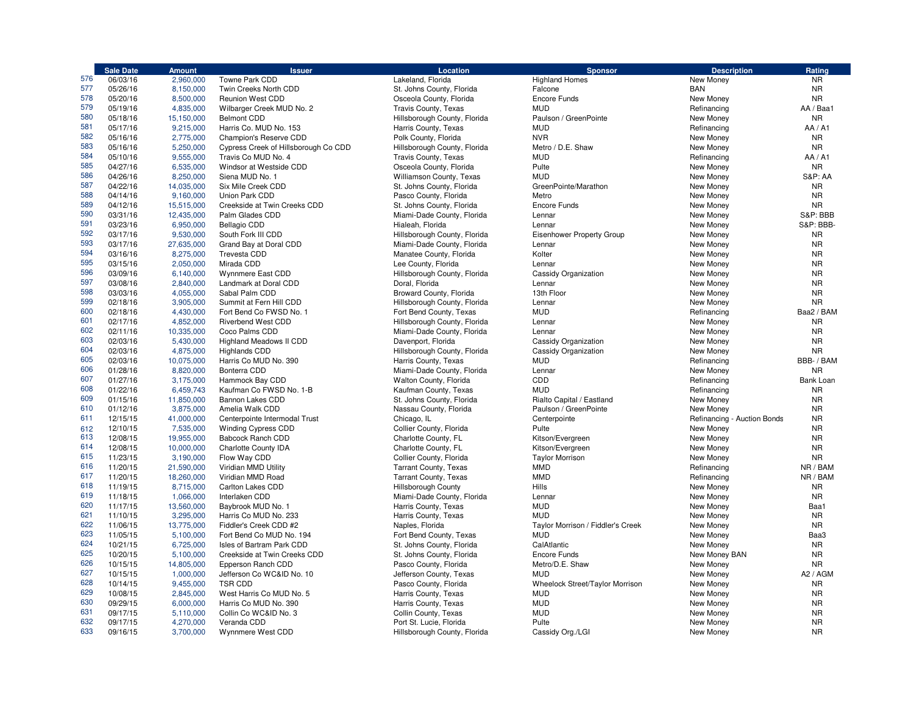|            | <b>Sale Date</b> | <b>Amount</b> | <b>Issuer</b>                        | Location                     | Sponsor                           | <b>Description</b>          | Rating                 |
|------------|------------------|---------------|--------------------------------------|------------------------------|-----------------------------------|-----------------------------|------------------------|
| 576        | 06/03/16         | 2,960,000     | Towne Park CDD                       | Lakeland, Florida            | <b>Highland Homes</b>             | New Money                   | <b>NR</b>              |
| 577        | 05/26/16         | 8,150,000     | Twin Creeks North CDD                | St. Johns County, Florida    | Falcone                           | <b>BAN</b>                  | <b>NR</b>              |
| 578        | 05/20/16         | 8,500,000     | <b>Reunion West CDD</b>              | Osceola County, Florida      | <b>Encore Funds</b>               | New Money                   | <b>NR</b>              |
| 579        | 05/19/16         | 4,835,000     | Wilbarger Creek MUD No. 2            | Travis County, Texas         | <b>MUD</b>                        | Refinancing                 | AA / Baa1              |
| 580        | 05/18/16         | 15,150,000    | <b>Belmont CDD</b>                   | Hillsborough County, Florida | Paulson / GreenPointe             | New Money                   | <b>NR</b>              |
| 581        | 05/17/16         | 9,215,000     | Harris Co. MUD No. 153               | Harris County, Texas         | <b>MUD</b>                        | Refinancing                 | AA/AI                  |
| 582        | 05/16/16         | 2,775,000     | Champion's Reserve CDD               | Polk County, Florida         | <b>NVR</b>                        | New Money                   | <b>NR</b>              |
| 583        | 05/16/16         | 5,250,000     | Cypress Creek of Hillsborough Co CDD | Hillsborough County, Florida | Metro / D.E. Shaw                 | New Money                   | <b>NR</b>              |
| 584        | 05/10/16         | 9,555,000     | Travis Co MUD No. 4                  | Travis County, Texas         | <b>MUD</b>                        | Refinancing                 | AA/AI                  |
| 585        | 04/27/16         | 6,535,000     | Windsor at Westside CDD              | Osceola County, Florida      | Pulte                             | New Money                   | <b>NR</b>              |
| 586        | 04/26/16         | 8,250,000     | Siena MUD No. 1                      | Williamson County, Texas     | <b>MUD</b>                        | New Money                   | <b>S&amp;P: AA</b>     |
| 587        | 04/22/16         | 14,035,000    | Six Mile Creek CDD                   | St. Johns County, Florida    | GreenPointe/Marathon              | New Money                   | <b>NR</b>              |
| 588        | 04/14/16         | 9,160,000     | Union Park CDD                       | Pasco County, Florida        | Metro                             | New Money                   | <b>NR</b>              |
| 589        | 04/12/16         | 15,515,000    | Creekside at Twin Creeks CDD         | St. Johns County, Florida    | <b>Encore Funds</b>               | New Money                   | <b>NR</b>              |
| 590        | 03/31/16         | 12,435,000    | Palm Glades CDD                      | Miami-Dade County, Florida   | Lennar                            | New Money                   | S&P: BBB               |
| 591        | 03/23/16         | 6,950,000     | <b>Bellagio CDD</b>                  | Hialeah, Florida             | Lennar                            | New Money                   | S&P: BBB-              |
| 592        | 03/17/16         | 9,530,000     | South Fork III CDD                   | Hillsborough County, Florida | Eisenhower Property Group         | New Money                   | <b>NR</b>              |
| 593        | 03/17/16         | 27,635,000    | Grand Bay at Doral CDD               | Miami-Dade County, Florida   | Lennar                            | New Money                   | <b>NR</b>              |
| 594        | 03/16/16         | 8,275,000     | Trevesta CDD                         | Manatee County, Florida      | Kolter                            | New Money                   | <b>NR</b>              |
| 595        | 03/15/16         | 2,050,000     | Mirada CDD                           | Lee County, Florida          | Lennar                            | New Money                   | <b>NR</b>              |
| 596        | 03/09/16         | 6,140,000     | Wynnmere East CDD                    | Hillsborough County, Florida | Cassidy Organization              | New Money                   | <b>NR</b>              |
| 597        | 03/08/16         | 2,840,000     | Landmark at Doral CDD                | Doral, Florida               | Lennar                            | New Money                   | <b>NR</b>              |
| 598        | 03/03/16         | 4,055,000     | Sabal Palm CDD                       | Broward County, Florida      | 13th Floor                        | New Money                   | <b>NR</b>              |
| 599        | 02/18/16         | 3,905,000     | Summit at Fern Hill CDD              | Hillsborough County, Florida | Lennar                            | New Money                   | <b>NR</b>              |
| 600        | 02/18/16         | 4,430,000     | Fort Bend Co FWSD No. 1              | Fort Bend County, Texas      | <b>MUD</b>                        | Refinancing                 | Baa2 / BAM             |
| 601        | 02/17/16         | 4,852,000     | <b>Riverbend West CDD</b>            | Hillsborough County, Florida | Lennar                            | New Money                   | <b>NR</b>              |
| 602        | 02/11/16         | 10,335,000    | Coco Palms CDD                       | Miami-Dade County, Florida   | Lennar                            | New Money                   | <b>NR</b>              |
| 603        | 02/03/16         | 5,430,000     | <b>Highland Meadows II CDD</b>       | Davenport, Florida           | Cassidy Organization              | New Money                   | <b>NR</b>              |
| 604        | 02/03/16         | 4,875,000     | <b>Highlands CDD</b>                 | Hillsborough County, Florida | Cassidy Organization              | New Money                   | <b>NR</b>              |
| 605        | 02/03/16         | 10,075,000    | Harris Co MUD No. 390                | Harris County, Texas         | <b>MUD</b>                        | Refinancing                 | BBB- / BAM             |
| 606        | 01/28/16         | 8,820,000     | <b>Bonterra CDD</b>                  | Miami-Dade County, Florida   | Lennar                            | New Money                   | <b>NR</b>              |
| 607        | 01/27/16         | 3,175,000     | Hammock Bay CDD                      | Walton County, Florida       | CDD                               | Refinancing                 | Bank Loan              |
| 608        | 01/22/16         | 6,459,743     | Kaufman Co FWSD No. 1-B              | Kaufman County, Texas        | <b>MUD</b>                        | Refinancing                 | <b>NR</b>              |
| 609        | 01/15/16         | 11,850,000    | Bannon Lakes CDD                     | St. Johns County, Florida    | Rialto Capital / Eastland         | New Money                   | <b>NR</b>              |
| 610        | 01/12/16         | 3,875,000     | Amelia Walk CDD                      | Nassau County, Florida       | Paulson / GreenPointe             | New Money                   | <b>NR</b>              |
| 611        | 12/15/15         | 41,000,000    | Centerpointe Intermodal Trust        | Chicago, IL                  | Centerpointe                      | Refinancing - Auction Bonds | <b>NR</b>              |
| 612        | 12/10/15         | 7,535,000     | <b>Winding Cypress CDD</b>           | Collier County, Florida      | Pulte                             | New Money                   | <b>NR</b>              |
| 613        | 12/08/15         | 19,955,000    | <b>Babcock Ranch CDD</b>             | Charlotte County, FL         | Kitson/Evergreen                  | New Money                   | <b>NR</b>              |
| 614        | 12/08/15         | 10,000,000    | Charlotte County IDA                 | Charlotte County, FL         | Kitson/Evergreen                  | New Money                   | <b>NR</b>              |
| 615        | 11/23/15         | 3,190,000     | Flow Way CDD                         | Collier County, Florida      | <b>Taylor Morrison</b>            | New Money                   | <b>NR</b>              |
| 616        | 11/20/15         | 21,590,000    | Viridian MMD Utility                 | <b>Tarrant County, Texas</b> | <b>MMD</b>                        | Refinancing                 | NR / BAM               |
| 617        | 11/20/15         | 18,260,000    | Viridian MMD Road                    | <b>Tarrant County, Texas</b> | <b>MMD</b>                        | Refinancing                 | NR / BAM               |
| 618        | 11/19/15         | 8,715,000     | Carlton Lakes CDD                    | <b>Hillsborough County</b>   | Hills                             | New Money                   | <b>NR</b>              |
| 619        | 11/18/15         | 1,066,000     | Interlaken CDD                       | Miami-Dade County, Florida   | Lennar                            | New Money                   | <b>NR</b>              |
| 620        | 11/17/15         | 13,560,000    | Baybrook MUD No. 1                   | Harris County, Texas         | <b>MUD</b>                        | New Money                   | Baa1                   |
| 621        | 11/10/15         | 3,295,000     | Harris Co MUD No. 233                | Harris County, Texas         | <b>MUD</b>                        | New Money                   | <b>NR</b>              |
| 622<br>623 | 11/06/15         | 13,775,000    | Fiddler's Creek CDD #2               | Naples, Florida              | Taylor Morrison / Fiddler's Creek | New Money                   | <b>NR</b>              |
|            | 11/05/15         | 5,100,000     | Fort Bend Co MUD No. 194             | Fort Bend County, Texas      | <b>MUD</b>                        | New Money                   | Baa3                   |
| 624        | 10/21/15         | 6,725,000     | Isles of Bartram Park CDD            | St. Johns County, Florida    | CalAtlantic                       | New Money                   | <b>NR</b>              |
| 625        | 10/20/15         | 5,100,000     | Creekside at Twin Creeks CDD         | St. Johns County, Florida    | <b>Encore Funds</b>               | New Money BAN               | <b>NR</b>              |
| 626<br>627 | 10/15/15         | 14,805,000    | Epperson Ranch CDD                   | Pasco County, Florida        | Metro/D.E. Shaw                   | New Money                   | <b>NR</b>              |
| 628        | 10/15/15         | 1,000,000     | Jefferson Co WC&ID No. 10            | Jefferson County, Texas      | <b>MUD</b>                        | New Money                   | A2 / AGM               |
| 629        | 10/14/15         | 9,455,000     | <b>TSR CDD</b>                       | Pasco County, Florida        | Wheelock Street/Taylor Morrison   | New Money                   | <b>NR</b>              |
| 630        | 10/08/15         | 2,845,000     | West Harris Co MUD No. 5             | Harris County, Texas         | <b>MUD</b>                        | New Money                   | <b>NR</b>              |
| 631        | 09/29/15         | 6,000,000     | Harris Co MUD No. 390                | Harris County, Texas         | <b>MUD</b>                        | New Money                   | <b>NR</b>              |
| 632        | 09/17/15         | 5,110,000     | Collin Co WC&ID No. 3                | Collin County, Texas         | <b>MUD</b>                        | New Money                   | <b>NR</b><br><b>NR</b> |
| 633        | 09/17/15         | 4,270,000     | Veranda CDD                          | Port St. Lucie, Florida      | Pulte                             | New Money                   |                        |
|            | 09/16/15         | 3,700,000     | Wynnmere West CDD                    | Hillsborough County, Florida | Cassidy Org./LGI                  | New Money                   | <b>NR</b>              |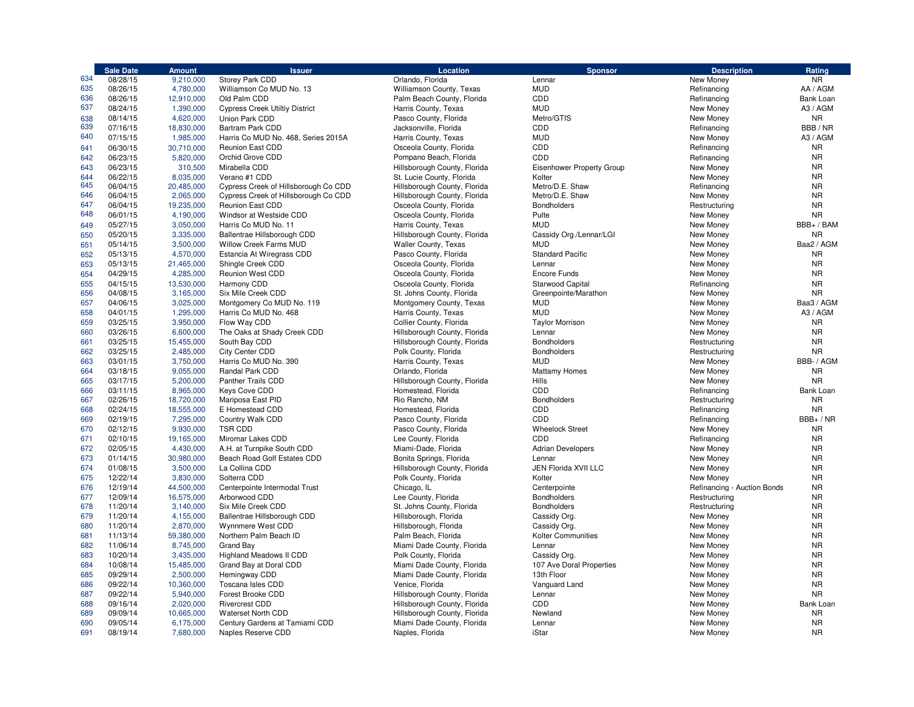|     | <b>Sale Date</b> | <b>Amount</b> | <b>Issuer</b>                         | Location                     | Sponsor                          | <b>Description</b>          | Rating           |
|-----|------------------|---------------|---------------------------------------|------------------------------|----------------------------------|-----------------------------|------------------|
| 634 | 08/28/15         | 9,210,000     | <b>Storey Park CDD</b>                | Orlando, Florida             | Lennar                           | New Money                   | NR               |
| 635 | 08/26/15         | 4,780,000     | Williamson Co MUD No. 13              | Williamson County, Texas     | <b>MUD</b>                       | Refinancing                 | AA / AGM         |
| 636 | 08/26/15         | 12,910,000    | Old Palm CDD                          | Palm Beach County, Florida   | CDD                              | Refinancing                 | <b>Bank Loan</b> |
| 637 | 08/24/15         | 1,390,000     | <b>Cypress Creek Utiltiy District</b> | Harris County, Texas         | <b>MUD</b>                       | New Money                   | A3 / AGM         |
| 638 | 08/14/15         | 4,620,000     | Union Park CDD                        | Pasco County, Florida        | Metro/GTIS                       | New Money                   | <b>NR</b>        |
| 639 | 07/16/15         | 18,830,000    | Bartram Park CDD                      | Jacksonville, Florida        | CDD                              | Refinancing                 | BBB / NR         |
| 640 | 07/15/15         | 1,985,000     | Harris Co MUD No. 468, Series 2015A   | Harris County, Texas         | <b>MUD</b>                       | New Money                   | A3 / AGM         |
| 641 | 06/30/15         | 30,710,000    | <b>Reunion East CDD</b>               | Osceola County, Florida      | CDD                              | Refinancing                 | <b>NR</b>        |
| 642 | 06/23/15         | 5,820,000     | Orchid Grove CDD                      | Pompano Beach, Florida       | CDD                              | Refinancing                 | <b>NR</b>        |
| 643 | 06/23/15         | 310,500       | Mirabella CDD                         | Hillsborough County, Florida | <b>Eisenhower Property Group</b> | New Money                   | <b>NR</b>        |
| 644 | 06/22/15         | 8,035,000     | Verano #1 CDD                         | St. Lucie County, Florida    | Kolter                           | New Money                   | <b>NR</b>        |
| 645 | 06/04/15         | 20,485,000    | Cypress Creek of Hillsborough Co CDD  | Hillsborough County, Florida | Metro/D.E. Shaw                  | Refinancing                 | <b>NR</b>        |
| 646 | 06/04/15         | 2,065,000     | Cypress Creek of Hillsborough Co CDD  | Hillsborough County, Florida | Metro/D.E. Shaw                  | New Money                   | <b>NR</b>        |
| 647 | 06/04/15         | 19,235,000    | <b>Reunion East CDD</b>               | Osceola County, Florida      | <b>Bondholders</b>               | Restructuring               | <b>NR</b>        |
| 648 | 06/01/15         | 4,190,000     | Windsor at Westside CDD               | Osceola County, Florida      | Pulte                            | New Money                   | <b>NR</b>        |
| 649 | 05/27/15         | 3,050,000     | Harris Co MUD No. 11                  | Harris County, Texas         | <b>MUD</b>                       | New Money                   | BBB+ / BAM       |
| 650 | 05/20/15         | 3,335,000     | Ballentrae Hillsborough CDD           | Hillsborough County, Florida | Cassidy Org./Lennar/LGI          | New Money                   | <b>NR</b>        |
| 651 | 05/14/15         | 3,500,000     | Willow Creek Farms MUD                | Waller County, Texas         | <b>MUD</b>                       | New Money                   | Baa2 / AGM       |
| 652 | 05/13/15         | 4,570,000     | Estancia At Wiregrass CDD             | Pasco County, Florida        | <b>Standard Pacific</b>          | New Money                   | <b>NR</b>        |
| 653 | 05/13/15         | 21,465,000    | Shingle Creek CDD                     | Osceola County, Florida      | Lennar                           | New Money                   | <b>NR</b>        |
| 654 | 04/29/15         | 4,285,000     | Reunion West CDD                      | Osceola County, Florida      | Encore Funds                     | New Money                   | <b>NR</b>        |
| 655 | 04/15/15         | 13,530,000    | Harmony CDD                           | Osceola County, Florida      | Starwood Capital                 | Refinancing                 | <b>NR</b>        |
| 656 | 04/08/15         | 3,165,000     | Six Mile Creek CDD                    | St. Johns County, Florida    | Greenpointe/Marathon             | New Money                   | <b>NR</b>        |
| 657 | 04/06/15         | 3,025,000     | Montgomery Co MUD No. 119             | Montgomery County, Texas     | <b>MUD</b>                       | New Money                   | Baa3 / AGM       |
| 658 | 04/01/15         | 1,295,000     | Harris Co MUD No. 468                 | Harris County, Texas         | <b>MUD</b>                       | New Money                   | A3 / AGM         |
| 659 | 03/25/15         |               |                                       |                              |                                  |                             | <b>NR</b>        |
|     |                  | 3,950,000     | Flow Way CDD                          | Collier County, Florida      | <b>Taylor Morrison</b>           | New Money                   |                  |
| 660 | 03/26/15         | 6,600,000     | The Oaks at Shady Creek CDD           | Hillsborough County, Florida | Lennar                           | New Money                   | <b>NR</b>        |
| 661 | 03/25/15         | 15,455,000    | South Bay CDD                         | Hillsborough County, Florida | <b>Bondholders</b>               | Restructuring               | <b>NR</b>        |
| 662 | 03/25/15         | 2,485,000     | City Center CDD                       | Polk County, Florida         | Bondholders                      | Restructuring               | <b>NR</b>        |
| 663 | 03/01/15         | 3,750,000     | Harris Co MUD No. 390                 | Harris County, Texas         | <b>MUD</b>                       | New Money                   | BBB- / AGM       |
| 664 | 03/18/15         | 9,055,000     | Randal Park CDD                       | Orlando, Florida             | <b>Mattamy Homes</b>             | New Money                   | <b>NR</b>        |
| 665 | 03/17/15         | 5,200,000     | Panther Trails CDD                    | Hillsborough County, Florida | Hills                            | New Money                   | <b>NR</b>        |
| 666 | 03/11/15         | 8,965,000     | <b>Keys Cove CDD</b>                  | Homestead, Florida           | CDD                              | Refinancing                 | Bank Loan        |
| 667 | 02/26/15         | 18,720,000    | Mariposa East PID                     | Rio Rancho, NM               | <b>Bondholders</b>               | Restructuring               | <b>NR</b>        |
| 668 | 02/24/15         | 18,555,000    | E Homestead CDD                       | Homestead, Florida           | CDD                              | Refinancing                 | <b>NR</b>        |
| 669 | 02/19/15         | 7,295,000     | Country Walk CDD                      | Pasco County, Florida        | CDD                              | Refinancing                 | $BBB+ / NR$      |
| 670 | 02/12/15         | 9,930,000     | <b>TSR CDD</b>                        | Pasco County, Florida        | <b>Wheelock Street</b>           | New Money                   | <b>NR</b>        |
| 671 | 02/10/15         | 19,165,000    | Miromar Lakes CDD                     | Lee County, Florida          | CDD                              | Refinancing                 | <b>NR</b>        |
| 672 | 02/05/15         | 4,430,000     | A.H. at Turnpike South CDD            | Miami-Dade, Florida          | <b>Adrian Developers</b>         | New Money                   | <b>NR</b>        |
| 673 | 01/14/15         | 30,980,000    | Beach Road Golf Estates CDD           | Bonita Springs, Florida      | Lennar                           | New Money                   | <b>NR</b>        |
| 674 | 01/08/15         | 3,500,000     | La Collina CDD                        | Hillsborough County, Florida | JEN Florida XVII LLC             | New Money                   | <b>NR</b>        |
| 675 | 12/22/14         | 3,830,000     | Solterra CDD                          | Polk County, Florida         | Kolter                           | New Money                   | <b>NR</b>        |
| 676 | 12/19/14         | 44,500,000    | Centerpointe Intermodal Trust         | Chicago, IL                  | Centerpointe                     | Refinancing - Auction Bonds | <b>NR</b>        |
| 677 | 12/09/14         | 16,575,000    | Arborwood CDD                         | Lee County, Florida          | <b>Bondholders</b>               | Restructuring               | <b>NR</b>        |
| 678 | 11/20/14         | 3,140,000     | Six Mile Creek CDD                    | St. Johns County, Florida    | <b>Bondholders</b>               | Restructuring               | <b>NR</b>        |
| 679 | 11/20/14         | 4,155,000     | Ballentrae Hillsborough CDD           | Hillsborough, Florida        | Cassidy Org.                     | New Money                   | <b>NR</b>        |
| 680 | 11/20/14         | 2,870,000     | Wynnmere West CDD                     | Hillsborough, Florida        | Cassidy Org.                     | New Money                   | <b>NR</b>        |
| 681 | 11/13/14         | 59,380,000    | Northern Palm Beach ID                | Palm Beach, Florida          | <b>Kolter Communities</b>        | New Money                   | <b>NR</b>        |
| 682 | 11/06/14         | 8,745,000     | Grand Bay                             | Miami Dade County, Florida   | Lennar                           | New Money                   | <b>NR</b>        |
| 683 | 10/20/14         | 3,435,000     | Highland Meadows II CDD               | Polk County, Florida         | Cassidy Org.                     | New Money                   | <b>NR</b>        |
| 684 | 10/08/14         | 15,485,000    | Grand Bay at Doral CDD                | Miami Dade County, Florida   | 107 Ave Doral Properties         | New Money                   | <b>NR</b>        |
| 685 | 09/29/14         | 2,500,000     | Hemingway CDD                         | Miami Dade County, Florida   | 13th Floor                       | New Money                   | <b>NR</b>        |
| 686 | 09/22/14         | 10,360,000    | Toscana Isles CDD                     | Venice, Florida              | Vanguard Land                    | New Money                   | <b>NR</b>        |
| 687 | 09/22/14         | 5,940,000     | Forest Brooke CDD                     | Hillsborough County, Florida | Lennar                           | New Money                   | <b>NR</b>        |
| 688 | 09/16/14         | 2,020,000     | <b>Rivercrest CDD</b>                 | Hillsborough County, Florida | CDD                              | New Money                   | Bank Loan        |
| 689 | 09/09/14         | 10,665,000    | Waterset North CDD                    | Hillsborough County, Florida | Newland                          | New Money                   | <b>NR</b>        |
| 690 | 09/05/14         | 6,175,000     | Century Gardens at Tamiami CDD        | Miami Dade County, Florida   | Lennar                           | New Money                   | <b>NR</b>        |
| 691 | 08/19/14         | 7,680,000     | Naples Reserve CDD                    | Naples, Florida              | iStar                            | New Money                   | <b>NR</b>        |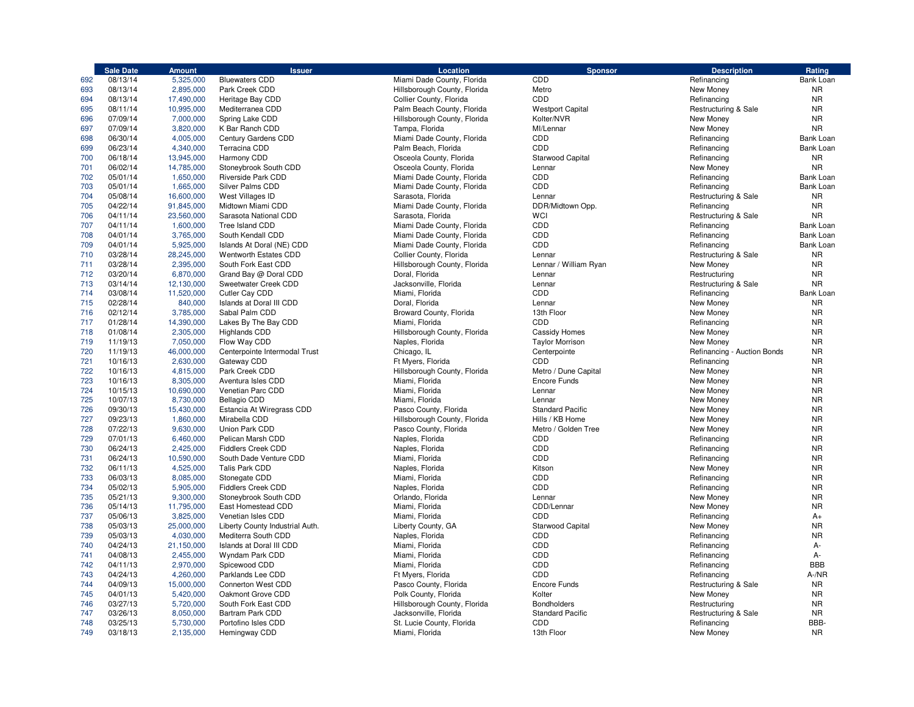|     | <b>Sale Date</b> | <b>Amount</b> | <b>Issuer</b>                   | Location                     | Sponsor                 | <b>Description</b>          | Rating           |
|-----|------------------|---------------|---------------------------------|------------------------------|-------------------------|-----------------------------|------------------|
| 692 | 08/13/14         | 5,325,000     | <b>Bluewaters CDD</b>           | Miami Dade County, Florida   | CDD                     | Refinancing                 | Bank Loan        |
| 693 | 08/13/14         | 2,895,000     | Park Creek CDD                  | Hillsborough County, Florida | Metro                   | New Money                   | <b>NR</b>        |
| 694 | 08/13/14         | 17,490,000    | Heritage Bay CDD                | Collier County, Florida      | CDD                     | Refinancing                 | <b>NR</b>        |
| 695 | 08/11/14         | 10,995,000    | Mediterranea CDD                | Palm Beach County, Florida   | <b>Westport Capital</b> | Restructuring & Sale        | <b>NR</b>        |
| 696 | 07/09/14         | 7,000,000     | Spring Lake CDD                 | Hillsborough County, Florida | Kolter/NVR              | New Money                   | <b>NR</b>        |
| 697 | 07/09/14         | 3,820,000     | K Bar Ranch CDD                 | Tampa, Florida               | MI/Lennar               | New Money                   | <b>NR</b>        |
| 698 | 06/30/14         | 4,005,000     | Century Gardens CDD             | Miami Dade County, Florida   | CDD                     | Refinancing                 | Bank Loan        |
| 699 | 06/23/14         | 4,340,000     | Terracina CDD                   | Palm Beach, Florida          | CDD                     | Refinancing                 | <b>Bank Loan</b> |
| 700 | 06/18/14         | 13,945,000    | Harmony CDD                     | Osceola County, Florida      | Starwood Capital        | Refinancing                 | <b>NR</b>        |
| 701 | 06/02/14         | 14,785,000    | Stoneybrook South CDD           | Osceola County, Florida      | Lennar                  | New Money                   | <b>NR</b>        |
| 702 | 05/01/14         | 1,650,000     | Riverside Park CDD              | Miami Dade County, Florida   | CDD                     | Refinancing                 | Bank Loan        |
| 703 | 05/01/14         | 1,665,000     | Silver Palms CDD                | Miami Dade County, Florida   | CDD                     | Refinancing                 | Bank Loan        |
| 704 | 05/08/14         | 16,600,000    | West Villages ID                | Sarasota, Florida            | Lennar                  | Restructuring & Sale        | <b>NR</b>        |
| 705 | 04/22/14         | 91,845,000    | Midtown Miami CDD               | Miami Dade County, Florida   | DDR/Midtown Opp.        | Refinancing                 | <b>NR</b>        |
| 706 | 04/11/14         | 23,560,000    | Sarasota National CDD           | Sarasota, Florida            | <b>WCI</b>              | Restructuring & Sale        | <b>NR</b>        |
| 707 | 04/11/14         | 1,600,000     | Tree Island CDD                 | Miami Dade County, Florida   | CDD                     | Refinancing                 | Bank Loan        |
| 708 | 04/01/14         | 3,765,000     | South Kendall CDD               | Miami Dade County, Florida   | CDD                     | Refinancing                 | Bank Loan        |
| 709 | 04/01/14         | 5,925,000     | Islands At Doral (NE) CDD       | Miami Dade County, Florida   | CDD                     | Refinancing                 | Bank Loan        |
| 710 | 03/28/14         | 28,245,000    | <b>Wentworth Estates CDD</b>    | Collier County, Florida      | Lennar                  | Restructuring & Sale        | <b>NR</b>        |
| 711 | 03/28/14         | 2,395,000     | South Fork East CDD             | Hillsborough County, Florida | Lennar / William Ryan   | New Money                   | <b>NR</b>        |
| 712 | 03/20/14         | 6,870,000     | Grand Bay @ Doral CDD           | Doral, Florida               | Lennar                  | Restructuring               | <b>NR</b>        |
| 713 | 03/14/14         | 12,130,000    | Sweetwater Creek CDD            | Jacksonville, Florida        | Lennar                  | Restructuring & Sale        | <b>NR</b>        |
| 714 | 03/08/14         | 11,520,000    | Cutler Cay CDD                  | Miami, Florida               | CDD                     | Refinancing                 | Bank Loan        |
| 715 | 02/28/14         | 840,000       | Islands at Doral III CDD        | Doral, Florida               | Lennar                  | New Money                   | <b>NR</b>        |
| 716 | 02/12/14         | 3,785,000     | Sabal Palm CDD                  | Broward County, Florida      | 13th Floor              | New Money                   | <b>NR</b>        |
| 717 | 01/28/14         | 14,390,000    | Lakes By The Bay CDD            | Miami, Florida               | CDD                     | Refinancing                 | <b>NR</b>        |
| 718 | 01/08/14         | 2,305,000     | <b>Highlands CDD</b>            | Hillsborough County, Florida | <b>Cassidy Homes</b>    | New Money                   | <b>NR</b>        |
| 719 | 11/19/13         | 7,050,000     | Flow Way CDD                    | Naples, Florida              | <b>Taylor Morrison</b>  | New Money                   | <b>NR</b>        |
| 720 | 11/19/13         | 46,000,000    | Centerpointe Intermodal Trust   | Chicago, IL                  | Centerpointe            | Refinancing - Auction Bonds | <b>NR</b>        |
| 721 | 10/16/13         | 2,630,000     | Gateway CDD                     | Ft Myers, Florida            | CDD                     | Refinancing                 | <b>NR</b>        |
| 722 | 10/16/13         | 4,815,000     | Park Creek CDD                  | Hillsborough County, Florida | Metro / Dune Capital    | New Money                   | <b>NR</b>        |
| 723 | 10/16/13         | 8,305,000     | Aventura Isles CDD              | Miami, Florida               | Encore Funds            | New Money                   | <b>NR</b>        |
| 724 | 10/15/13         | 10,690,000    | Venetian Parc CDD               | Miami, Florida               | Lennar                  | New Money                   | <b>NR</b>        |
| 725 | 10/07/13         | 8,730,000     | <b>Bellagio CDD</b>             | Miami, Florida               | Lennar                  | New Money                   | <b>NR</b>        |
| 726 | 09/30/13         | 15,430,000    | Estancia At Wiregrass CDD       | Pasco County, Florida        | <b>Standard Pacific</b> | New Money                   | <b>NR</b>        |
| 727 | 09/23/13         | 1,860,000     | Mirabella CDD                   | Hillsborough County, Florida | Hills / KB Home         | New Money                   | <b>NR</b>        |
| 728 | 07/22/13         | 9,630,000     | Union Park CDD                  |                              | Metro / Golden Tree     |                             | <b>NR</b>        |
| 729 | 07/01/13         |               | Pelican Marsh CDD               | Pasco County, Florida        | CDD                     | New Money                   | <b>NR</b>        |
|     |                  | 6,460,000     |                                 | Naples, Florida              |                         | Refinancing                 | <b>NR</b>        |
| 730 | 06/24/13         | 2,425,000     | <b>Fiddlers Creek CDD</b>       | Naples, Florida              | CDD<br>CDD              | Refinancing                 | <b>NR</b>        |
| 731 | 06/24/13         | 10,590,000    | South Dade Venture CDD          | Miami, Florida               |                         | Refinancing                 | <b>NR</b>        |
| 732 | 06/11/13         | 4,525,000     | Talis Park CDD                  | Naples, Florida              | Kitson                  | New Money                   |                  |
| 733 | 06/03/13         | 8,085,000     | Stonegate CDD                   | Miami, Florida               | CDD                     | Refinancing                 | <b>NR</b>        |
| 734 | 05/02/13         | 5,905,000     | <b>Fiddlers Creek CDD</b>       | Naples, Florida              | CDD                     | Refinancing                 | <b>NR</b>        |
| 735 | 05/21/13         | 9,300,000     | Stoneybrook South CDD           | Orlando, Florida             | Lennar                  | New Money                   | <b>NR</b>        |
| 736 | 05/14/13         | 11,795,000    | East Homestead CDD              | Miami, Florida               | CDD/Lennar              | New Money                   | <b>NR</b>        |
| 737 | 05/06/13         | 3,825,000     | Venetian Isles CDD              | Miami, Florida               | CDD                     | Refinancing                 | $A+$             |
| 738 | 05/03/13         | 25,000,000    | Liberty County Industrial Auth. | Liberty County, GA           | Starwood Capital        | New Money                   | <b>NR</b>        |
| 739 | 05/03/13         | 4,030,000     | Mediterra South CDD             | Naples, Florida              | CDD                     | Refinancing                 | <b>NR</b>        |
| 740 | 04/24/13         | 21,150,000    | Islands at Doral III CDD        | Miami, Florida               | CDD                     | Refinancing                 | A-               |
| 741 | 04/08/13         | 2,455,000     | Wyndam Park CDD                 | Miami, Florida               | CDD                     | Refinancing                 | $A -$            |
| 742 | 04/11/13         | 2,970,000     | Spicewood CDD                   | Miami, Florida               | CDD                     | Refinancing                 | <b>BBB</b>       |
| 743 | 04/24/13         | 4,260,000     | Parklands Lee CDD               | Ft Myers, Florida            | CDD                     | Refinancing                 | $A-NR$           |
| 744 | 04/09/13         | 15,000,000    | <b>Connerton West CDD</b>       | Pasco County, Florida        | Encore Funds            | Restructuring & Sale        | <b>NR</b>        |
| 745 | 04/01/13         | 5,420,000     | Oakmont Grove CDD               | Polk County, Florida         | Kolter                  | New Money                   | <b>NR</b>        |
| 746 | 03/27/13         | 5,720,000     | South Fork East CDD             | Hillsborough County, Florida | Bondholders             | Restructuring               | <b>NR</b>        |
| 747 | 03/26/13         | 8,050,000     | Bartram Park CDD                | Jacksonville, Florida        | <b>Standard Pacific</b> | Restructuring & Sale        | <b>NR</b>        |
| 748 | 03/25/13         | 5,730,000     | Portofino Isles CDD             | St. Lucie County, Florida    | CDD                     | Refinancing                 | BBB-             |
| 749 | 03/18/13         | 2,135,000     | Hemingway CDD                   | Miami, Florida               | 13th Floor              | New Money                   | <b>NR</b>        |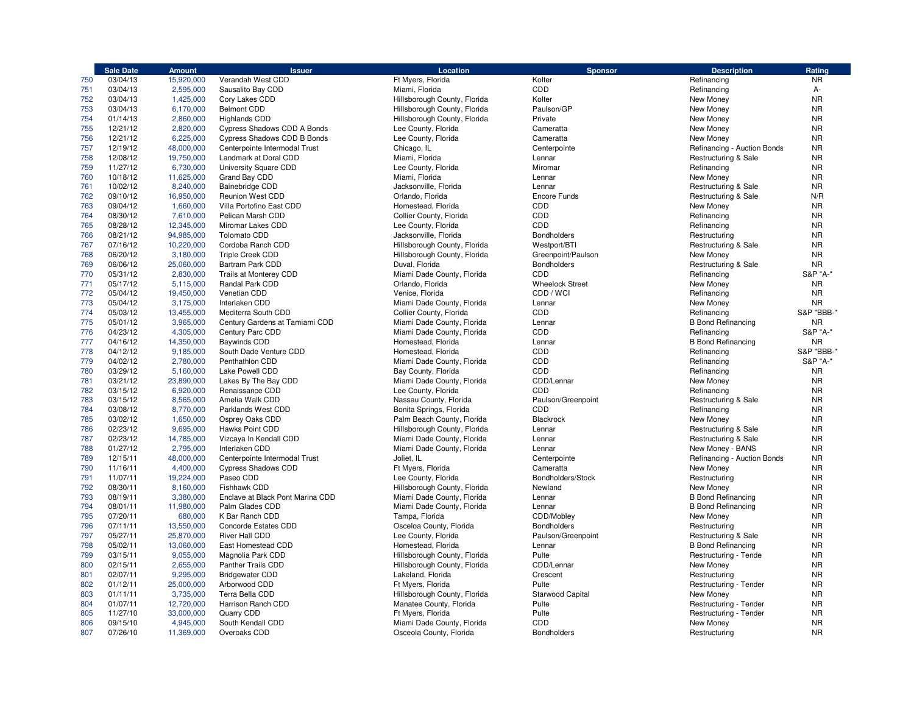|     | <b>Sale Date</b> | <b>Amount</b> | <b>Issuer</b>                    | Location                     | <b>Sponsor</b>         | <b>Description</b>          | Rating              |
|-----|------------------|---------------|----------------------------------|------------------------------|------------------------|-----------------------------|---------------------|
| 750 | 03/04/13         | 15,920,000    | Verandah West CDD                | Ft Myers, Florida            | Kolter                 | Refinancing                 | <b>NR</b>           |
| 751 | 03/04/13         | 2.595.000     | Sausalito Bay CDD                | Miami, Florida               | CDD                    | Refinancing                 | $A -$               |
| 752 | 03/04/13         | 1,425,000     | Cory Lakes CDD                   | Hillsborough County, Florida | Kolter                 | New Money                   | <b>NR</b>           |
| 753 | 03/04/13         | 6,170,000     | <b>Belmont CDD</b>               | Hillsborough County, Florida | Paulson/GP             | New Money                   | <b>NR</b>           |
| 754 | 01/14/13         | 2,860,000     | <b>Highlands CDD</b>             | Hillsborough County, Florida | Private                | New Money                   | <b>NR</b>           |
| 755 | 12/21/12         | 2,820,000     | Cypress Shadows CDD A Bonds      | Lee County, Florida          | Cameratta              | New Money                   | <b>NR</b>           |
| 756 | 12/21/12         | 6,225,000     | Cypress Shadows CDD B Bonds      | Lee County, Florida          | Cameratta              | New Money                   | <b>NR</b>           |
| 757 | 12/19/12         | 48,000,000    | Centerpointe Intermodal Trust    | Chicago, IL                  | Centerpointe           | Refinancing - Auction Bonds | <b>NR</b>           |
| 758 | 12/08/12         | 19,750,000    | Landmark at Doral CDD            | Miami, Florida               | Lennar                 | Restructuring & Sale        | <b>NR</b>           |
| 759 | 11/27/12         | 6,730,000     | University Square CDD            | Lee County, Florida          | Miromar                | Refinancing                 | <b>NR</b>           |
| 760 | 10/18/12         | 11,625,000    | Grand Bay CDD                    | Miami, Florida               | Lennar                 | New Money                   | <b>NR</b>           |
| 761 | 10/02/12         | 8,240,000     | Bainebridge CDD                  | Jacksonville, Florida        | Lennar                 | Restructuring & Sale        | <b>NR</b>           |
| 762 | 09/10/12         | 16,950,000    | <b>Reunion West CDD</b>          | Orlando, Florida             | <b>Encore Funds</b>    | Restructuring & Sale        | N/R                 |
| 763 | 09/04/12         | 1,660,000     | Villa Portofino East CDD         | Homestead, Florida           | CDD                    | New Money                   | <b>NR</b>           |
| 764 | 08/30/12         | 7,610,000     | Pelican Marsh CDD                | Collier County, Florida      | CDD                    | Refinancing                 | <b>NR</b>           |
| 765 | 08/28/12         | 12,345,000    | Miromar Lakes CDD                | Lee County, Florida          | CDD                    | Refinancing                 | <b>NR</b>           |
| 766 | 08/21/12         | 94,985,000    | <b>Tolomato CDD</b>              | Jacksonville, Florida        | <b>Bondholders</b>     | Restructuring               | <b>NR</b>           |
| 767 | 07/16/12         | 10,220,000    | Cordoba Ranch CDD                | Hillsborough County, Florida | Westport/BTI           | Restructuring & Sale        | <b>NR</b>           |
| 768 | 06/20/12         | 3,180,000     | Triple Creek CDD                 | Hillsborough County, Florida | Greenpoint/Paulson     | New Money                   | <b>NR</b>           |
| 769 | 06/06/12         | 25,060,000    | Bartram Park CDD                 | Duval, Florida               | <b>Bondholders</b>     | Restructuring & Sale        | <b>NR</b>           |
| 770 | 05/31/12         | 2,830,000     | Trails at Monterey CDD           | Miami Dade County, Florida   | CDD                    | Refinancing                 | <b>S&amp;P "A-"</b> |
| 771 | 05/17/12         | 5,115,000     | Randal Park CDD                  | Orlando, Florida             | <b>Wheelock Street</b> | New Money                   | <b>NR</b>           |
| 772 | 05/04/12         | 19,450,000    | Venetian CDD                     | Venice, Florida              | CDD / WCI              | Refinancing                 | <b>NR</b>           |
| 773 | 05/04/12         | 3,175,000     | Interlaken CDD                   | Miami Dade County, Florida   | Lennar                 | New Money                   | <b>NR</b>           |
| 774 | 05/03/12         | 13,455,000    | Mediterra South CDD              | Collier County, Florida      | CDD                    | Refinancing                 | S&P "BBB-"          |
| 775 | 05/01/12         | 3,965,000     | Century Gardens at Tamiami CDD   | Miami Dade County, Florida   | Lennar                 | <b>B</b> Bond Refinancing   | <b>NR</b>           |
| 776 | 04/23/12         | 4,305,000     | Century Parc CDD                 | Miami Dade County, Florida   | CDD                    | Refinancing                 | <b>S&amp;P "A-"</b> |
| 777 | 04/16/12         | 14,350,000    | <b>Baywinds CDD</b>              | Homestead, Florida           | Lennar                 | <b>B</b> Bond Refinancing   | <b>NR</b>           |
| 778 | 04/12/12         | 9,185,000     | South Dade Venture CDD           | Homestead, Florida           | CDD                    | Refinancing                 | S&P "BBB-"          |
| 779 | 04/02/12         | 2,780,000     | Penthathlon CDD                  | Miami Dade County, Florida   | CDD                    | Refinancing                 | <b>S&amp;P "A-"</b> |
| 780 | 03/29/12         | 5,160,000     | Lake Powell CDD                  | Bay County, Florida          | CDD                    | Refinancing                 | <b>NR</b>           |
| 781 | 03/21/12         | 23,890,000    | Lakes By The Bay CDD             | Miami Dade County, Florida   | CDD/Lennar             | New Money                   | <b>NR</b>           |
| 782 | 03/15/12         | 6,920,000     | Renaissance CDD                  | Lee County, Florida          | CDD                    | Refinancing                 | <b>NR</b>           |
| 783 | 03/15/12         | 8,565,000     | Amelia Walk CDD                  | Nassau County, Florida       | Paulson/Greenpoint     | Restructuring & Sale        | <b>NR</b>           |
| 784 | 03/08/12         | 8,770,000     | Parklands West CDD               | Bonita Springs, Florida      | CDD                    | Refinancing                 | <b>NR</b>           |
| 785 | 03/02/12         | 1,650,000     | Osprey Oaks CDD                  | Palm Beach County, Florida   | Blackrock              | New Money                   | <b>NR</b>           |
| 786 | 02/23/12         | 9,695,000     | Hawks Point CDD                  | Hillsborough County, Florida | Lennar                 | Restructuring & Sale        | <b>NR</b>           |
| 787 | 02/23/12         | 14,785,000    | Vizcaya In Kendall CDD           | Miami Dade County, Florida   | Lennar                 | Restructuring & Sale        | <b>NR</b>           |
| 788 | 01/27/12         | 2,795,000     | Interlaken CDD                   | Miami Dade County, Florida   | Lennar                 | New Money - BANS            | <b>NR</b>           |
| 789 | 12/15/11         | 48,000,000    | Centerpointe Intermodal Trust    | Joliet, IL                   | Centerpointe           | Refinancing - Auction Bonds | <b>NR</b>           |
| 790 | 11/16/11         | 4,400,000     | Cypress Shadows CDD              | Ft Myers, Florida            | Cameratta              | New Money                   | <b>NR</b>           |
| 791 | 11/07/11         | 19,224,000    | Paseo CDD                        | Lee County, Florida          | Bondholders/Stock      | Restructuring               | <b>NR</b>           |
| 792 | 08/30/11         | 8,160,000     | <b>Fishhawk CDD</b>              | Hillsborough County, Florida | Newland                | New Money                   | <b>NR</b>           |
| 793 | 08/19/11         | 3,380,000     | Enclave at Black Pont Marina CDD | Miami Dade County, Florida   | Lennar                 | <b>B</b> Bond Refinancing   | <b>NR</b>           |
| 794 | 08/01/11         | 11,980,000    | Palm Glades CDD                  | Miami Dade County, Florida   | Lennar                 | <b>B</b> Bond Refinancing   | <b>NR</b>           |
| 795 | 07/20/11         | 680,000       | K Bar Ranch CDD                  | Tampa, Florida               | CDD/Mobley             | New Money                   | <b>NR</b>           |
| 796 | 07/11/11         | 13,550,000    | Concorde Estates CDD             | Osceloa County, Florida      | <b>Bondholders</b>     | Restructuring               | <b>NR</b>           |
| 797 | 05/27/11         | 25,870,000    | River Hall CDD                   | Lee County, Florida          | Paulson/Greenpoint     | Restructuring & Sale        | <b>NR</b>           |
| 798 | 05/02/11         | 13,060,000    | East Homestead CDD               | Homestead, Florida           | Lennar                 | <b>B</b> Bond Refinancing   | <b>NR</b>           |
| 799 | 03/15/11         | 9,055,000     | Magnolia Park CDD                | Hillsborough County, Florida | Pulte                  | Restructuring - Tende       | <b>NR</b>           |
| 800 | 02/15/11         | 2,655,000     | Panther Trails CDD               | Hillsborough County, Florida | CDD/Lennar             | New Money                   | <b>NR</b>           |
| 801 | 02/07/11         | 9,295,000     | <b>Bridgewater CDD</b>           | Lakeland, Florida            | Crescent               | Restructuring               | <b>NR</b>           |
| 802 | 01/12/11         | 25,000,000    | Arborwood CDD                    | Ft Myers, Florida            | Pulte                  | Restructuring - Tender      | <b>NR</b>           |
| 803 | 01/11/11         | 3,735,000     | Terra Bella CDD                  | Hillsborough County, Florida | Starwood Capital       | New Money                   | <b>NR</b>           |
| 804 | 01/07/11         | 12,720,000    | Harrison Ranch CDD               | Manatee County, Florida      | Pulte                  | Restructuring - Tender      | <b>NR</b>           |
| 805 | 11/27/10         | 33,000,000    | Quarry CDD                       | Ft Myers, Florida            | Pulte                  | Restructuring - Tender      | <b>NR</b>           |
| 806 | 09/15/10         | 4,945,000     | South Kendall CDD                | Miami Dade County, Florida   | CDD                    | New Money                   | <b>NR</b>           |
| 807 | 07/26/10         | 11,369,000    | Overoaks CDD                     | Osceola County, Florida      | <b>Bondholders</b>     | Restructuring               | <b>NR</b>           |